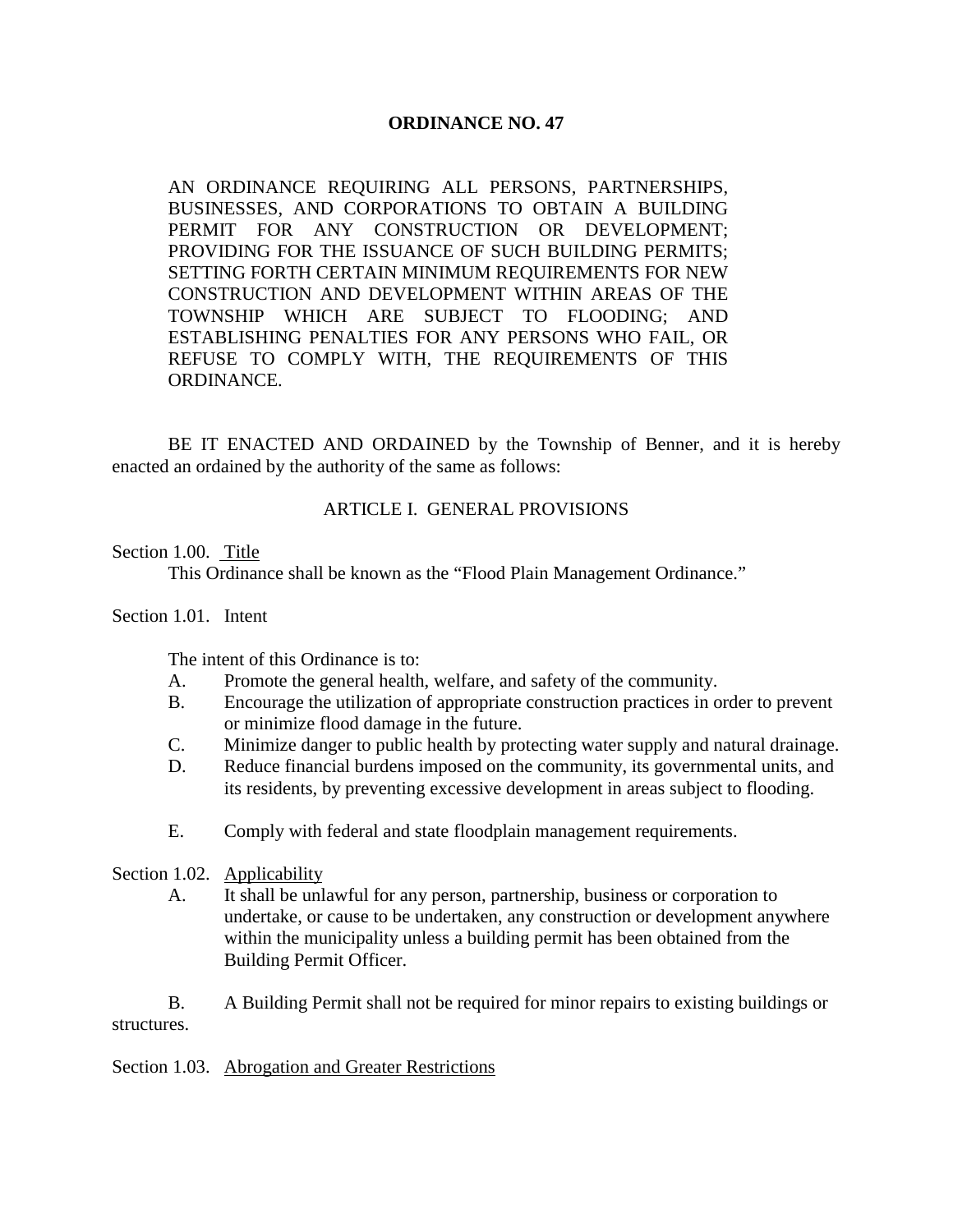# **ORDINANCE NO. 47**

AN ORDINANCE REQUIRING ALL PERSONS, PARTNERSHIPS, BUSINESSES, AND CORPORATIONS TO OBTAIN A BUILDING PERMIT FOR ANY CONSTRUCTION OR DEVELOPMENT; PROVIDING FOR THE ISSUANCE OF SUCH BUILDING PERMITS; SETTING FORTH CERTAIN MINIMUM REQUIREMENTS FOR NEW CONSTRUCTION AND DEVELOPMENT WITHIN AREAS OF THE TOWNSHIP WHICH ARE SUBJECT TO FLOODING; AND ESTABLISHING PENALTIES FOR ANY PERSONS WHO FAIL, OR REFUSE TO COMPLY WITH, THE REQUIREMENTS OF THIS ORDINANCE.

BE IT ENACTED AND ORDAINED by the Township of Benner, and it is hereby enacted an ordained by the authority of the same as follows:

## ARTICLE I. GENERAL PROVISIONS

Section 1.00. Title

This Ordinance shall be known as the "Flood Plain Management Ordinance."

### Section 1.01. Intent

The intent of this Ordinance is to:

- A. Promote the general health, welfare, and safety of the community.
- B. Encourage the utilization of appropriate construction practices in order to prevent or minimize flood damage in the future.
- C. Minimize danger to public health by protecting water supply and natural drainage.
- D. Reduce financial burdens imposed on the community, its governmental units, and its residents, by preventing excessive development in areas subject to flooding.
- E. Comply with federal and state floodplain management requirements.

# Section 1.02. Applicability

A. It shall be unlawful for any person, partnership, business or corporation to undertake, or cause to be undertaken, any construction or development anywhere within the municipality unless a building permit has been obtained from the Building Permit Officer.

B. A Building Permit shall not be required for minor repairs to existing buildings or structures.

Section 1.03. Abrogation and Greater Restrictions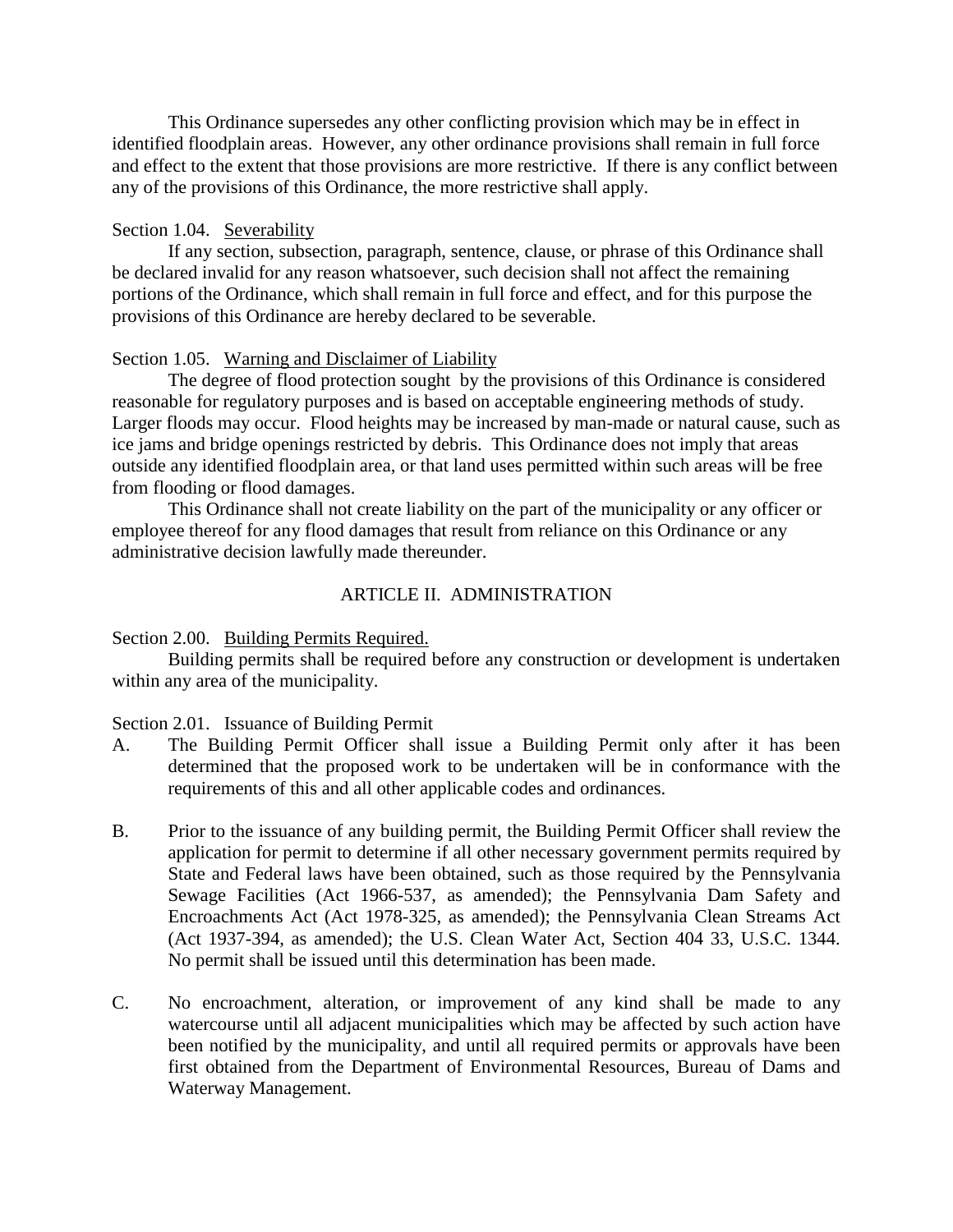This Ordinance supersedes any other conflicting provision which may be in effect in identified floodplain areas. However, any other ordinance provisions shall remain in full force and effect to the extent that those provisions are more restrictive. If there is any conflict between any of the provisions of this Ordinance, the more restrictive shall apply.

## Section 1.04. Severability

If any section, subsection, paragraph, sentence, clause, or phrase of this Ordinance shall be declared invalid for any reason whatsoever, such decision shall not affect the remaining portions of the Ordinance, which shall remain in full force and effect, and for this purpose the provisions of this Ordinance are hereby declared to be severable.

## Section 1.05. Warning and Disclaimer of Liability

The degree of flood protection sought by the provisions of this Ordinance is considered reasonable for regulatory purposes and is based on acceptable engineering methods of study. Larger floods may occur. Flood heights may be increased by man-made or natural cause, such as ice jams and bridge openings restricted by debris. This Ordinance does not imply that areas outside any identified floodplain area, or that land uses permitted within such areas will be free from flooding or flood damages.

This Ordinance shall not create liability on the part of the municipality or any officer or employee thereof for any flood damages that result from reliance on this Ordinance or any administrative decision lawfully made thereunder.

## ARTICLE II. ADMINISTRATION

Section 2.00. Building Permits Required.

Building permits shall be required before any construction or development is undertaken within any area of the municipality.

#### Section 2.01. Issuance of Building Permit

- A. The Building Permit Officer shall issue a Building Permit only after it has been determined that the proposed work to be undertaken will be in conformance with the requirements of this and all other applicable codes and ordinances.
- B. Prior to the issuance of any building permit, the Building Permit Officer shall review the application for permit to determine if all other necessary government permits required by State and Federal laws have been obtained, such as those required by the Pennsylvania Sewage Facilities (Act 1966-537, as amended); the Pennsylvania Dam Safety and Encroachments Act (Act 1978-325, as amended); the Pennsylvania Clean Streams Act (Act 1937-394, as amended); the U.S. Clean Water Act, Section 404 33, U.S.C. 1344. No permit shall be issued until this determination has been made.
- C. No encroachment, alteration, or improvement of any kind shall be made to any watercourse until all adjacent municipalities which may be affected by such action have been notified by the municipality, and until all required permits or approvals have been first obtained from the Department of Environmental Resources, Bureau of Dams and Waterway Management.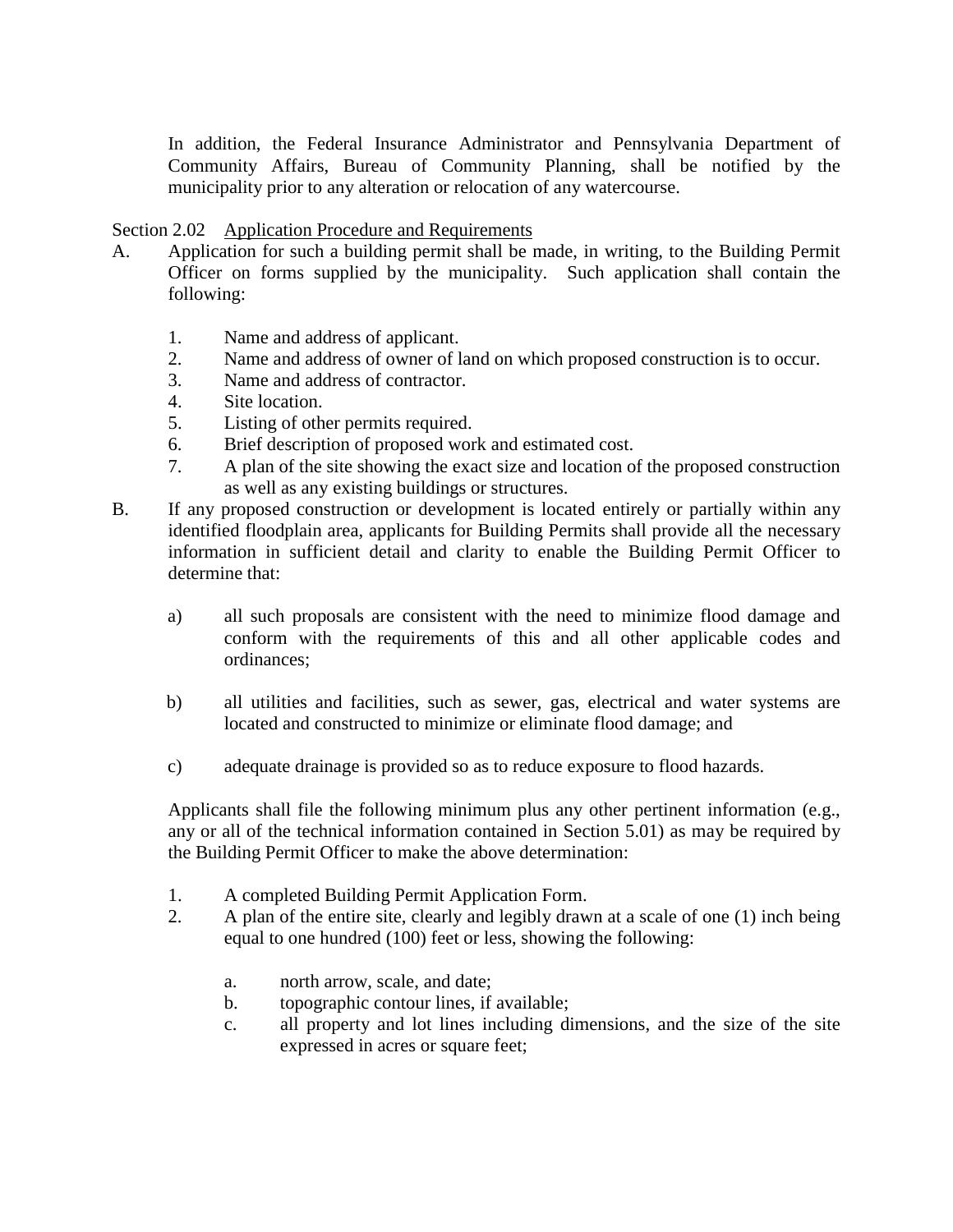In addition, the Federal Insurance Administrator and Pennsylvania Department of Community Affairs, Bureau of Community Planning, shall be notified by the municipality prior to any alteration or relocation of any watercourse.

## Section 2.02 Application Procedure and Requirements

- A. Application for such a building permit shall be made, in writing, to the Building Permit Officer on forms supplied by the municipality. Such application shall contain the following:
	- 1. Name and address of applicant.
	- 2. Name and address of owner of land on which proposed construction is to occur.
	- 3. Name and address of contractor.
	- 4. Site location.
	- 5. Listing of other permits required.
	- 6. Brief description of proposed work and estimated cost.
	- 7. A plan of the site showing the exact size and location of the proposed construction as well as any existing buildings or structures.
- B. If any proposed construction or development is located entirely or partially within any identified floodplain area, applicants for Building Permits shall provide all the necessary information in sufficient detail and clarity to enable the Building Permit Officer to determine that:
	- a) all such proposals are consistent with the need to minimize flood damage and conform with the requirements of this and all other applicable codes and ordinances;
	- b) all utilities and facilities, such as sewer, gas, electrical and water systems are located and constructed to minimize or eliminate flood damage; and
	- c) adequate drainage is provided so as to reduce exposure to flood hazards.

Applicants shall file the following minimum plus any other pertinent information (e.g., any or all of the technical information contained in Section 5.01) as may be required by the Building Permit Officer to make the above determination:

- 1. A completed Building Permit Application Form.
- 2. A plan of the entire site, clearly and legibly drawn at a scale of one (1) inch being equal to one hundred (100) feet or less, showing the following:
	- a. north arrow, scale, and date;
	- b. topographic contour lines, if available;
	- c. all property and lot lines including dimensions, and the size of the site expressed in acres or square feet;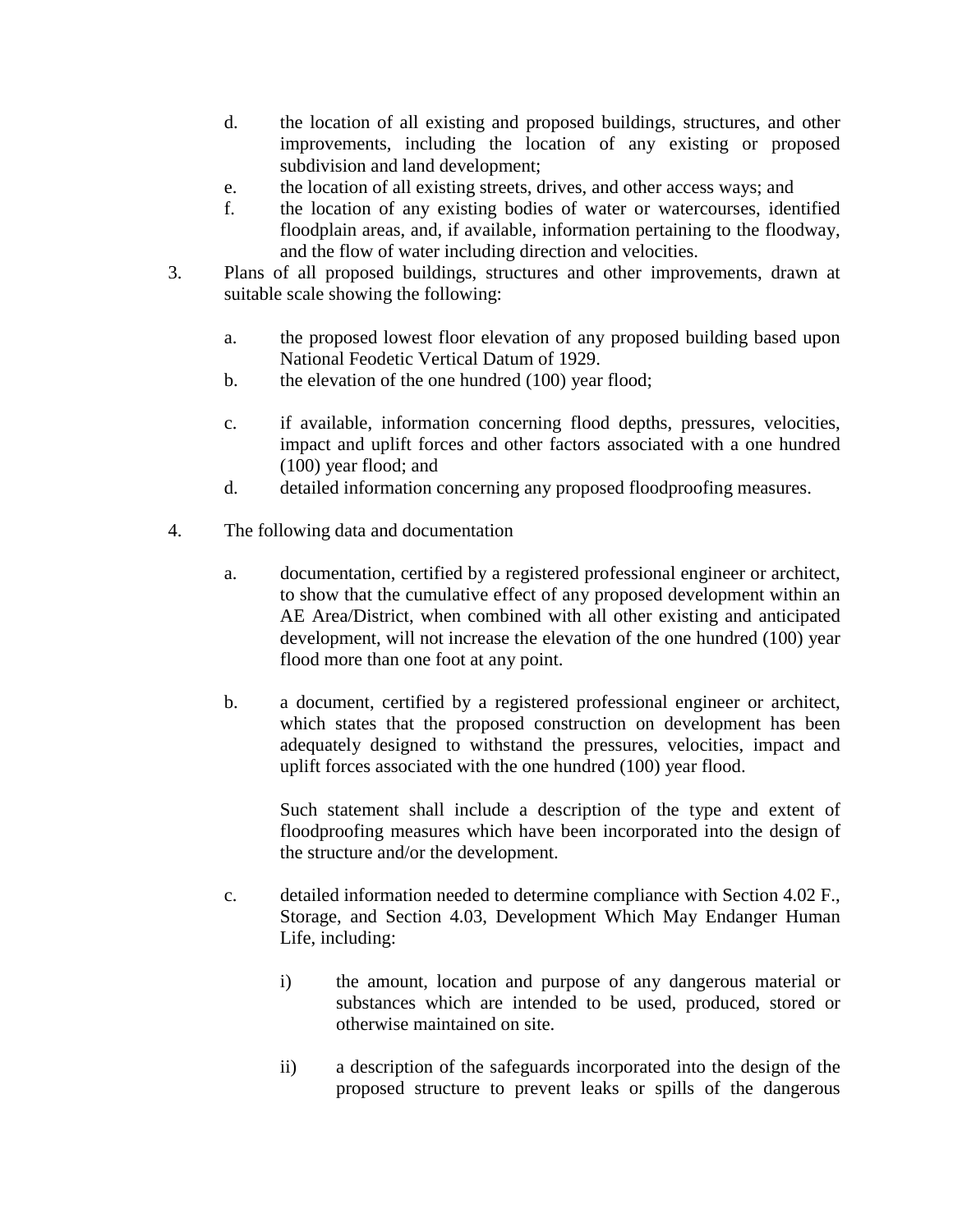- d. the location of all existing and proposed buildings, structures, and other improvements, including the location of any existing or proposed subdivision and land development;
- e. the location of all existing streets, drives, and other access ways; and
- f. the location of any existing bodies of water or watercourses, identified floodplain areas, and, if available, information pertaining to the floodway, and the flow of water including direction and velocities.
- 3. Plans of all proposed buildings, structures and other improvements, drawn at suitable scale showing the following:
	- a. the proposed lowest floor elevation of any proposed building based upon National Feodetic Vertical Datum of 1929.
	- b. the elevation of the one hundred (100) year flood;
	- c. if available, information concerning flood depths, pressures, velocities, impact and uplift forces and other factors associated with a one hundred (100) year flood; and
	- d. detailed information concerning any proposed floodproofing measures.
- 4. The following data and documentation
	- a. documentation, certified by a registered professional engineer or architect, to show that the cumulative effect of any proposed development within an AE Area/District, when combined with all other existing and anticipated development, will not increase the elevation of the one hundred (100) year flood more than one foot at any point.
	- b. a document, certified by a registered professional engineer or architect, which states that the proposed construction on development has been adequately designed to withstand the pressures, velocities, impact and uplift forces associated with the one hundred (100) year flood.

Such statement shall include a description of the type and extent of floodproofing measures which have been incorporated into the design of the structure and/or the development.

- c. detailed information needed to determine compliance with Section 4.02 F., Storage, and Section 4.03, Development Which May Endanger Human Life, including:
	- i) the amount, location and purpose of any dangerous material or substances which are intended to be used, produced, stored or otherwise maintained on site.
	- ii) a description of the safeguards incorporated into the design of the proposed structure to prevent leaks or spills of the dangerous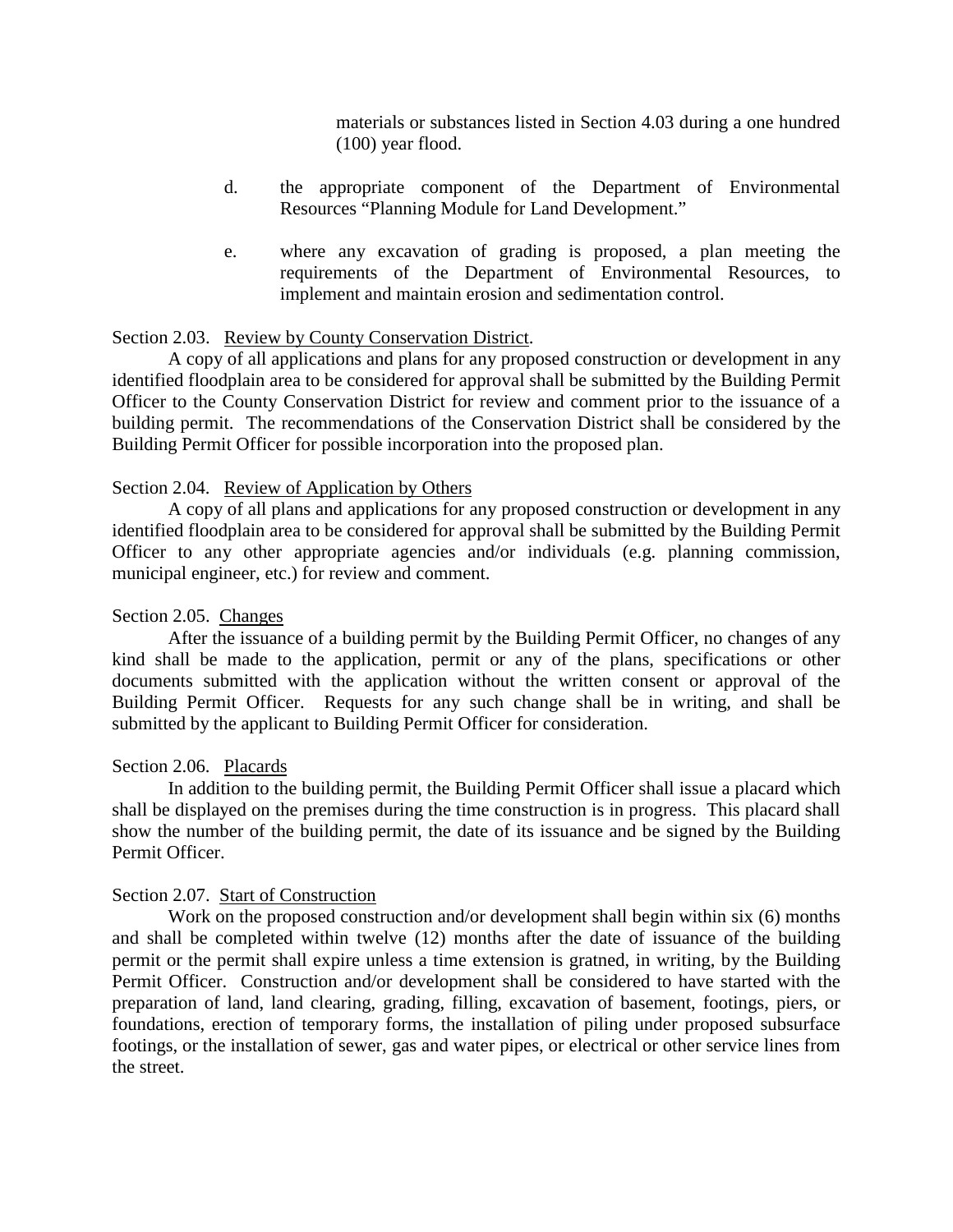materials or substances listed in Section 4.03 during a one hundred (100) year flood.

- d. the appropriate component of the Department of Environmental Resources "Planning Module for Land Development."
- e. where any excavation of grading is proposed, a plan meeting the requirements of the Department of Environmental Resources, to implement and maintain erosion and sedimentation control.

## Section 2.03. Review by County Conservation District.

A copy of all applications and plans for any proposed construction or development in any identified floodplain area to be considered for approval shall be submitted by the Building Permit Officer to the County Conservation District for review and comment prior to the issuance of a building permit. The recommendations of the Conservation District shall be considered by the Building Permit Officer for possible incorporation into the proposed plan.

## Section 2.04. Review of Application by Others

A copy of all plans and applications for any proposed construction or development in any identified floodplain area to be considered for approval shall be submitted by the Building Permit Officer to any other appropriate agencies and/or individuals (e.g. planning commission, municipal engineer, etc.) for review and comment.

## Section 2.05. Changes

After the issuance of a building permit by the Building Permit Officer, no changes of any kind shall be made to the application, permit or any of the plans, specifications or other documents submitted with the application without the written consent or approval of the Building Permit Officer. Requests for any such change shall be in writing, and shall be submitted by the applicant to Building Permit Officer for consideration.

## Section 2.06. Placards

In addition to the building permit, the Building Permit Officer shall issue a placard which shall be displayed on the premises during the time construction is in progress. This placard shall show the number of the building permit, the date of its issuance and be signed by the Building Permit Officer.

## Section 2.07. Start of Construction

Work on the proposed construction and/or development shall begin within six (6) months and shall be completed within twelve (12) months after the date of issuance of the building permit or the permit shall expire unless a time extension is gratned, in writing, by the Building Permit Officer. Construction and/or development shall be considered to have started with the preparation of land, land clearing, grading, filling, excavation of basement, footings, piers, or foundations, erection of temporary forms, the installation of piling under proposed subsurface footings, or the installation of sewer, gas and water pipes, or electrical or other service lines from the street.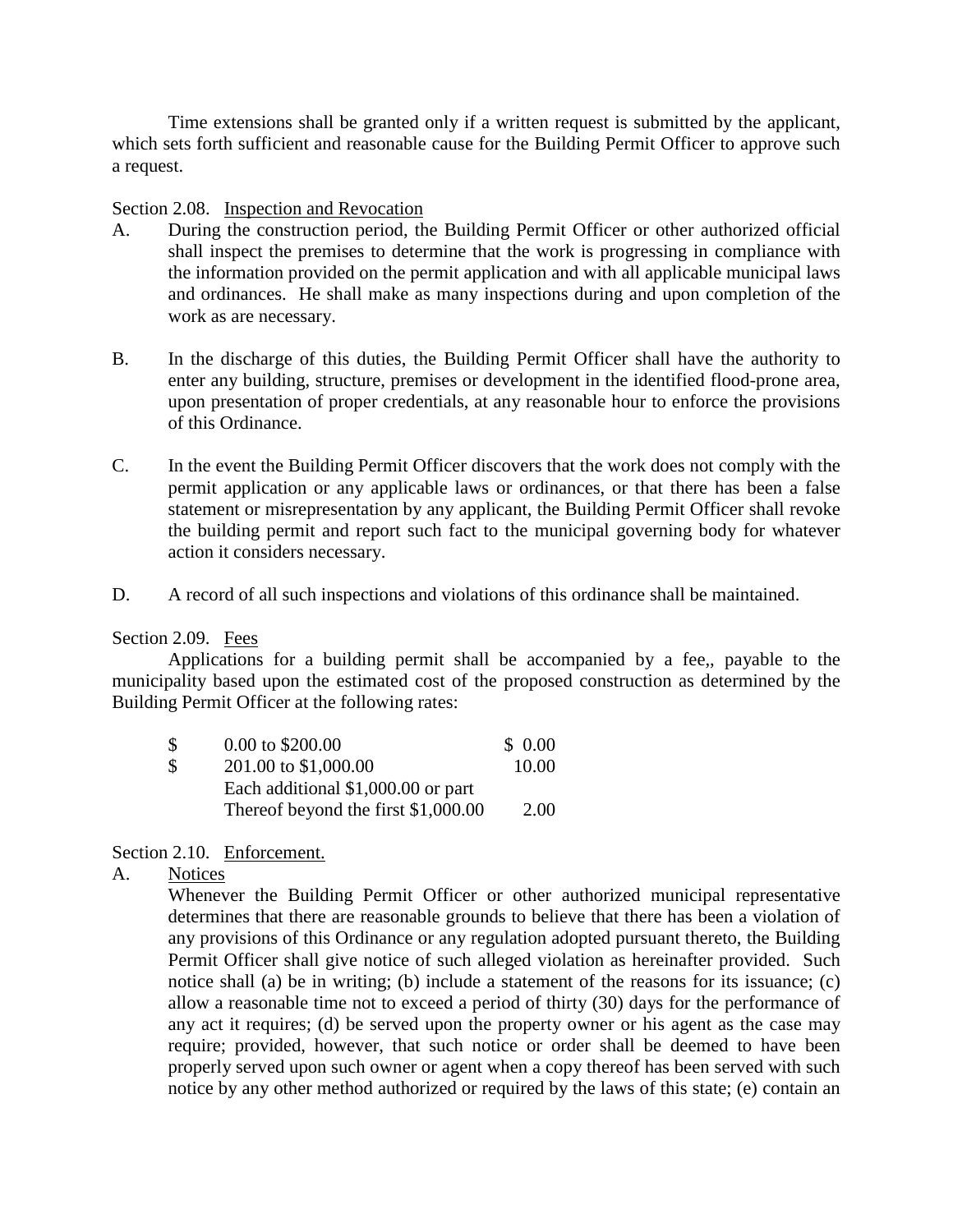Time extensions shall be granted only if a written request is submitted by the applicant, which sets forth sufficient and reasonable cause for the Building Permit Officer to approve such a request.

## Section 2.08. Inspection and Revocation

- A. During the construction period, the Building Permit Officer or other authorized official shall inspect the premises to determine that the work is progressing in compliance with the information provided on the permit application and with all applicable municipal laws and ordinances. He shall make as many inspections during and upon completion of the work as are necessary.
- B. In the discharge of this duties, the Building Permit Officer shall have the authority to enter any building, structure, premises or development in the identified flood-prone area, upon presentation of proper credentials, at any reasonable hour to enforce the provisions of this Ordinance.
- C. In the event the Building Permit Officer discovers that the work does not comply with the permit application or any applicable laws or ordinances, or that there has been a false statement or misrepresentation by any applicant, the Building Permit Officer shall revoke the building permit and report such fact to the municipal governing body for whatever action it considers necessary.
- D. A record of all such inspections and violations of this ordinance shall be maintained.

## Section 2.09. Fees

Applications for a building permit shall be accompanied by a fee,, payable to the municipality based upon the estimated cost of the proposed construction as determined by the Building Permit Officer at the following rates:

| $\mathcal{S}$             | $0.00 \text{ to } $200.00$          | \$ 0.00 |
|---------------------------|-------------------------------------|---------|
| $\boldsymbol{\mathsf{S}}$ | 201.00 to \$1,000.00                | 10.00   |
|                           | Each additional \$1,000.00 or part  |         |
|                           | Thereof beyond the first \$1,000.00 | 2.00    |

## Section 2.10. Enforcement.

## A. Notices

Whenever the Building Permit Officer or other authorized municipal representative determines that there are reasonable grounds to believe that there has been a violation of any provisions of this Ordinance or any regulation adopted pursuant thereto, the Building Permit Officer shall give notice of such alleged violation as hereinafter provided. Such notice shall (a) be in writing; (b) include a statement of the reasons for its issuance; (c) allow a reasonable time not to exceed a period of thirty (30) days for the performance of any act it requires; (d) be served upon the property owner or his agent as the case may require; provided, however, that such notice or order shall be deemed to have been properly served upon such owner or agent when a copy thereof has been served with such notice by any other method authorized or required by the laws of this state; (e) contain an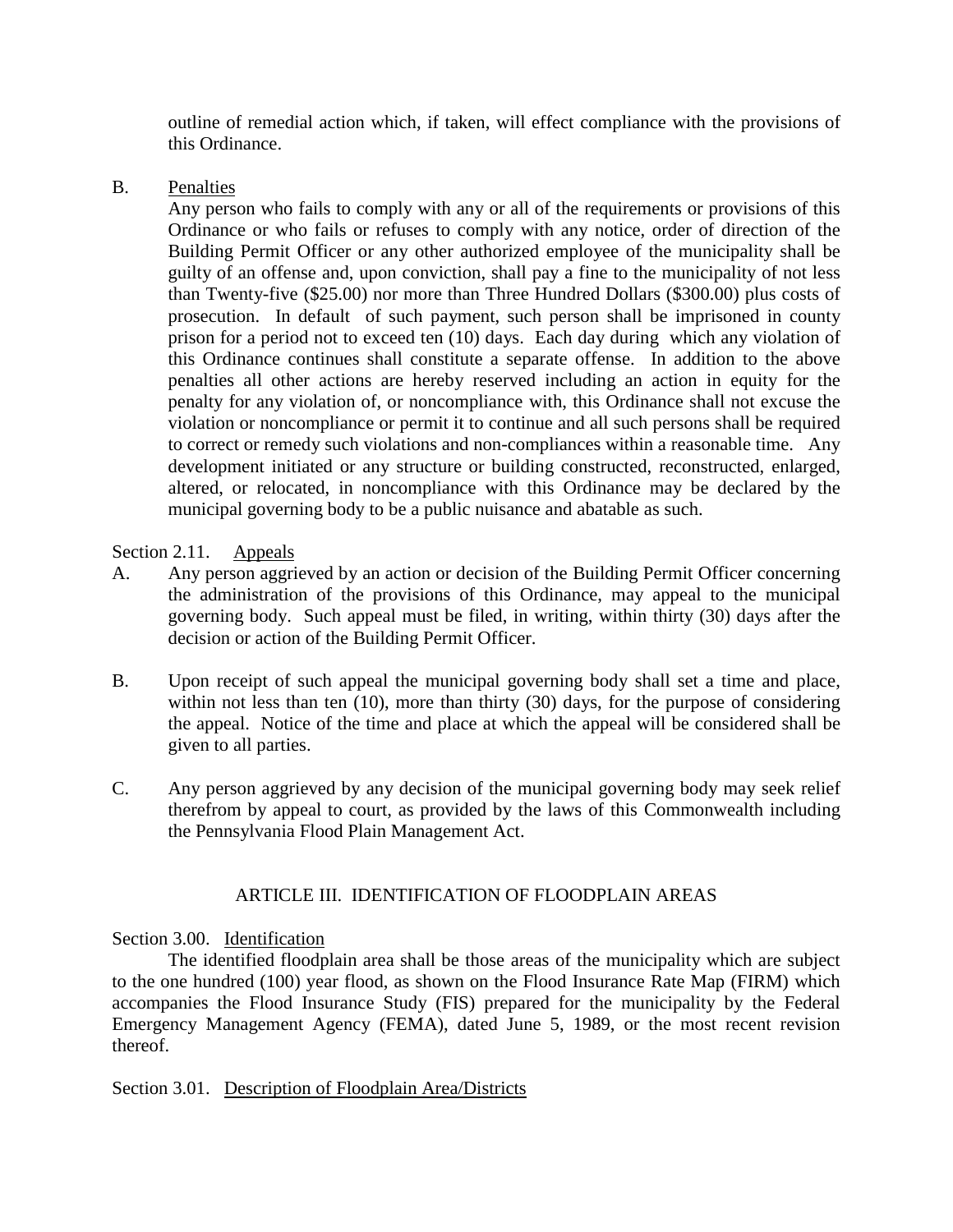outline of remedial action which, if taken, will effect compliance with the provisions of this Ordinance.

## B. Penalties

Any person who fails to comply with any or all of the requirements or provisions of this Ordinance or who fails or refuses to comply with any notice, order of direction of the Building Permit Officer or any other authorized employee of the municipality shall be guilty of an offense and, upon conviction, shall pay a fine to the municipality of not less than Twenty-five (\$25.00) nor more than Three Hundred Dollars (\$300.00) plus costs of prosecution. In default of such payment, such person shall be imprisoned in county prison for a period not to exceed ten (10) days. Each day during which any violation of this Ordinance continues shall constitute a separate offense. In addition to the above penalties all other actions are hereby reserved including an action in equity for the penalty for any violation of, or noncompliance with, this Ordinance shall not excuse the violation or noncompliance or permit it to continue and all such persons shall be required to correct or remedy such violations and non-compliances within a reasonable time. Any development initiated or any structure or building constructed, reconstructed, enlarged, altered, or relocated, in noncompliance with this Ordinance may be declared by the municipal governing body to be a public nuisance and abatable as such.

## Section 2.11. Appeals

- A. Any person aggrieved by an action or decision of the Building Permit Officer concerning the administration of the provisions of this Ordinance, may appeal to the municipal governing body. Such appeal must be filed, in writing, within thirty (30) days after the decision or action of the Building Permit Officer.
- B. Upon receipt of such appeal the municipal governing body shall set a time and place, within not less than ten (10), more than thirty (30) days, for the purpose of considering the appeal. Notice of the time and place at which the appeal will be considered shall be given to all parties.
- C. Any person aggrieved by any decision of the municipal governing body may seek relief therefrom by appeal to court, as provided by the laws of this Commonwealth including the Pennsylvania Flood Plain Management Act.

# ARTICLE III. IDENTIFICATION OF FLOODPLAIN AREAS

# Section 3.00. Identification

The identified floodplain area shall be those areas of the municipality which are subject to the one hundred (100) year flood, as shown on the Flood Insurance Rate Map (FIRM) which accompanies the Flood Insurance Study (FIS) prepared for the municipality by the Federal Emergency Management Agency (FEMA), dated June 5, 1989, or the most recent revision thereof.

## Section 3.01. Description of Floodplain Area/Districts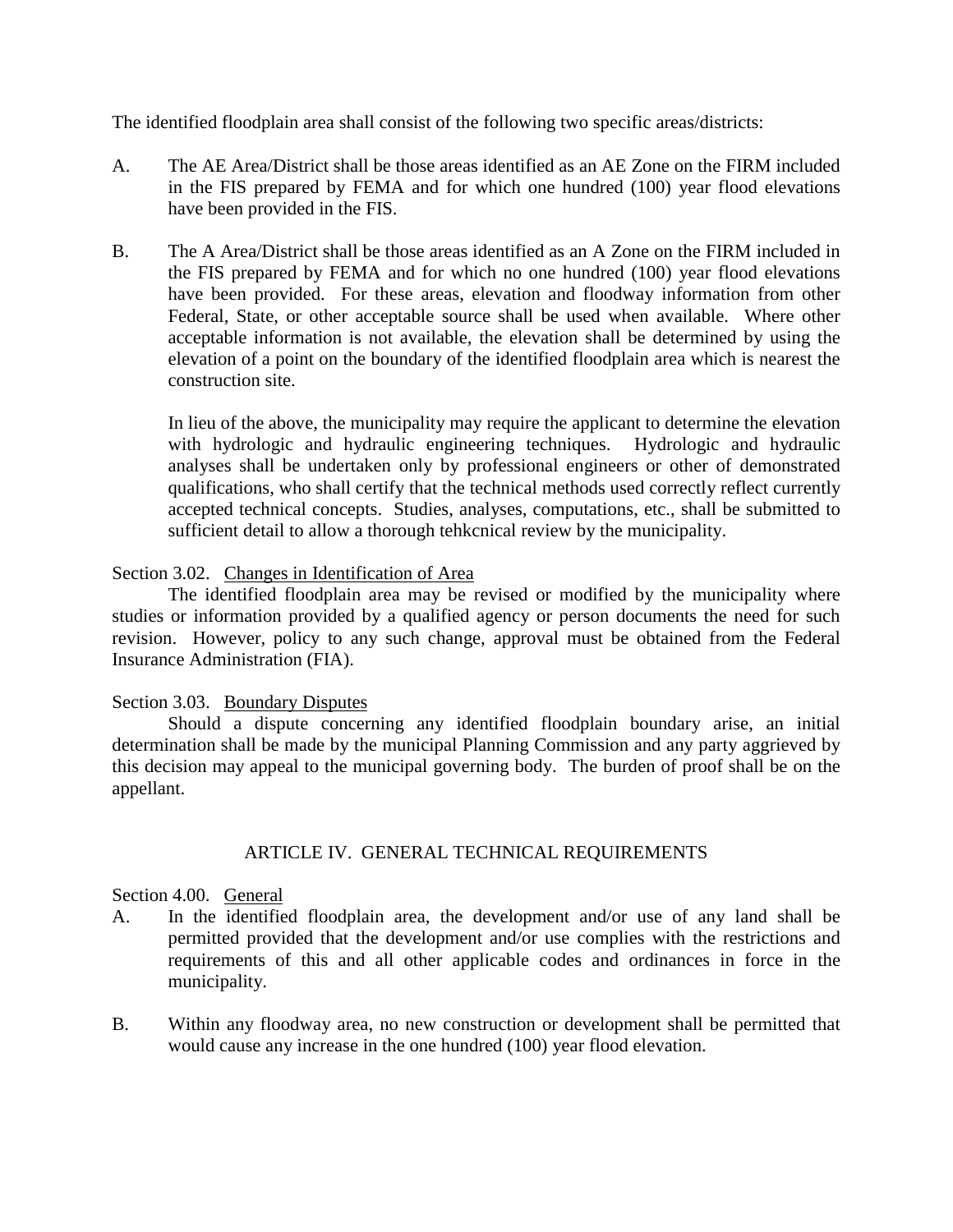The identified floodplain area shall consist of the following two specific areas/districts:

- A. The AE Area/District shall be those areas identified as an AE Zone on the FIRM included in the FIS prepared by FEMA and for which one hundred (100) year flood elevations have been provided in the FIS.
- B. The A Area/District shall be those areas identified as an A Zone on the FIRM included in the FIS prepared by FEMA and for which no one hundred (100) year flood elevations have been provided. For these areas, elevation and floodway information from other Federal, State, or other acceptable source shall be used when available. Where other acceptable information is not available, the elevation shall be determined by using the elevation of a point on the boundary of the identified floodplain area which is nearest the construction site.

In lieu of the above, the municipality may require the applicant to determine the elevation with hydrologic and hydraulic engineering techniques. Hydrologic and hydraulic analyses shall be undertaken only by professional engineers or other of demonstrated qualifications, who shall certify that the technical methods used correctly reflect currently accepted technical concepts. Studies, analyses, computations, etc., shall be submitted to sufficient detail to allow a thorough tehkcnical review by the municipality.

# Section 3.02. Changes in Identification of Area

The identified floodplain area may be revised or modified by the municipality where studies or information provided by a qualified agency or person documents the need for such revision. However, policy to any such change, approval must be obtained from the Federal Insurance Administration (FIA).

## Section 3.03. Boundary Disputes

Should a dispute concerning any identified floodplain boundary arise, an initial determination shall be made by the municipal Planning Commission and any party aggrieved by this decision may appeal to the municipal governing body. The burden of proof shall be on the appellant.

# ARTICLE IV. GENERAL TECHNICAL REQUIREMENTS

## Section 4.00. General

- A. In the identified floodplain area, the development and/or use of any land shall be permitted provided that the development and/or use complies with the restrictions and requirements of this and all other applicable codes and ordinances in force in the municipality.
- B. Within any floodway area, no new construction or development shall be permitted that would cause any increase in the one hundred (100) year flood elevation.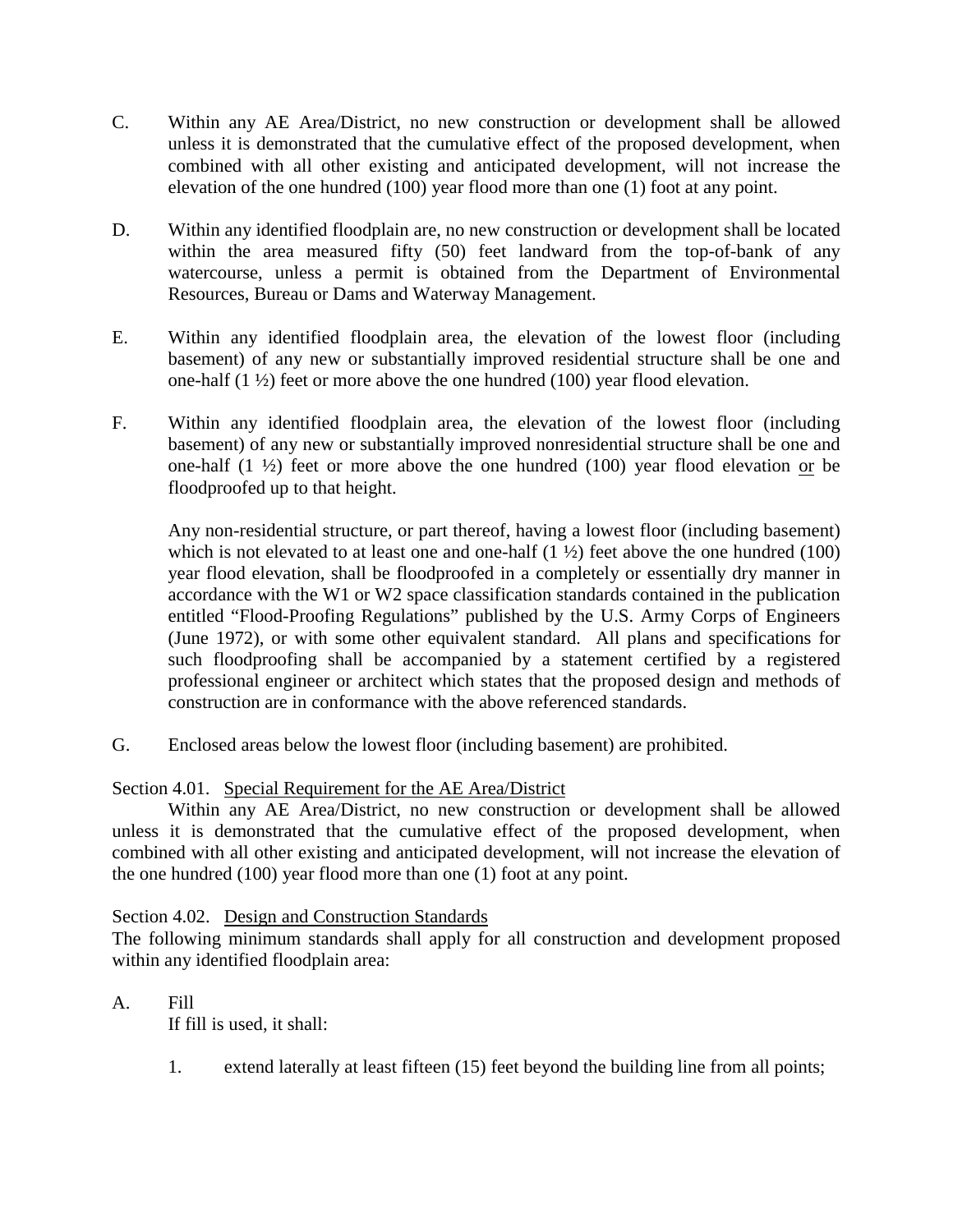- C. Within any AE Area/District, no new construction or development shall be allowed unless it is demonstrated that the cumulative effect of the proposed development, when combined with all other existing and anticipated development, will not increase the elevation of the one hundred (100) year flood more than one (1) foot at any point.
- D. Within any identified floodplain are, no new construction or development shall be located within the area measured fifty (50) feet landward from the top-of-bank of any watercourse, unless a permit is obtained from the Department of Environmental Resources, Bureau or Dams and Waterway Management.
- E. Within any identified floodplain area, the elevation of the lowest floor (including basement) of any new or substantially improved residential structure shall be one and one-half  $(1 \frac{1}{2})$  feet or more above the one hundred  $(100)$  year flood elevation.
- F. Within any identified floodplain area, the elevation of the lowest floor (including basement) of any new or substantially improved nonresidential structure shall be one and one-half  $(1 \frac{1}{2})$  feet or more above the one hundred  $(100)$  year flood elevation or be floodproofed up to that height.

Any non-residential structure, or part thereof, having a lowest floor (including basement) which is not elevated to at least one and one-half  $(1 \frac{1}{2})$  feet above the one hundred  $(100)$ year flood elevation, shall be floodproofed in a completely or essentially dry manner in accordance with the W1 or W2 space classification standards contained in the publication entitled "Flood-Proofing Regulations" published by the U.S. Army Corps of Engineers (June 1972), or with some other equivalent standard. All plans and specifications for such floodproofing shall be accompanied by a statement certified by a registered professional engineer or architect which states that the proposed design and methods of construction are in conformance with the above referenced standards.

G. Enclosed areas below the lowest floor (including basement) are prohibited.

# Section 4.01. Special Requirement for the AE Area/District

Within any AE Area/District, no new construction or development shall be allowed unless it is demonstrated that the cumulative effect of the proposed development, when combined with all other existing and anticipated development, will not increase the elevation of the one hundred (100) year flood more than one (1) foot at any point.

# Section 4.02. Design and Construction Standards

The following minimum standards shall apply for all construction and development proposed within any identified floodplain area:

# A. Fill

If fill is used, it shall:

1. extend laterally at least fifteen (15) feet beyond the building line from all points;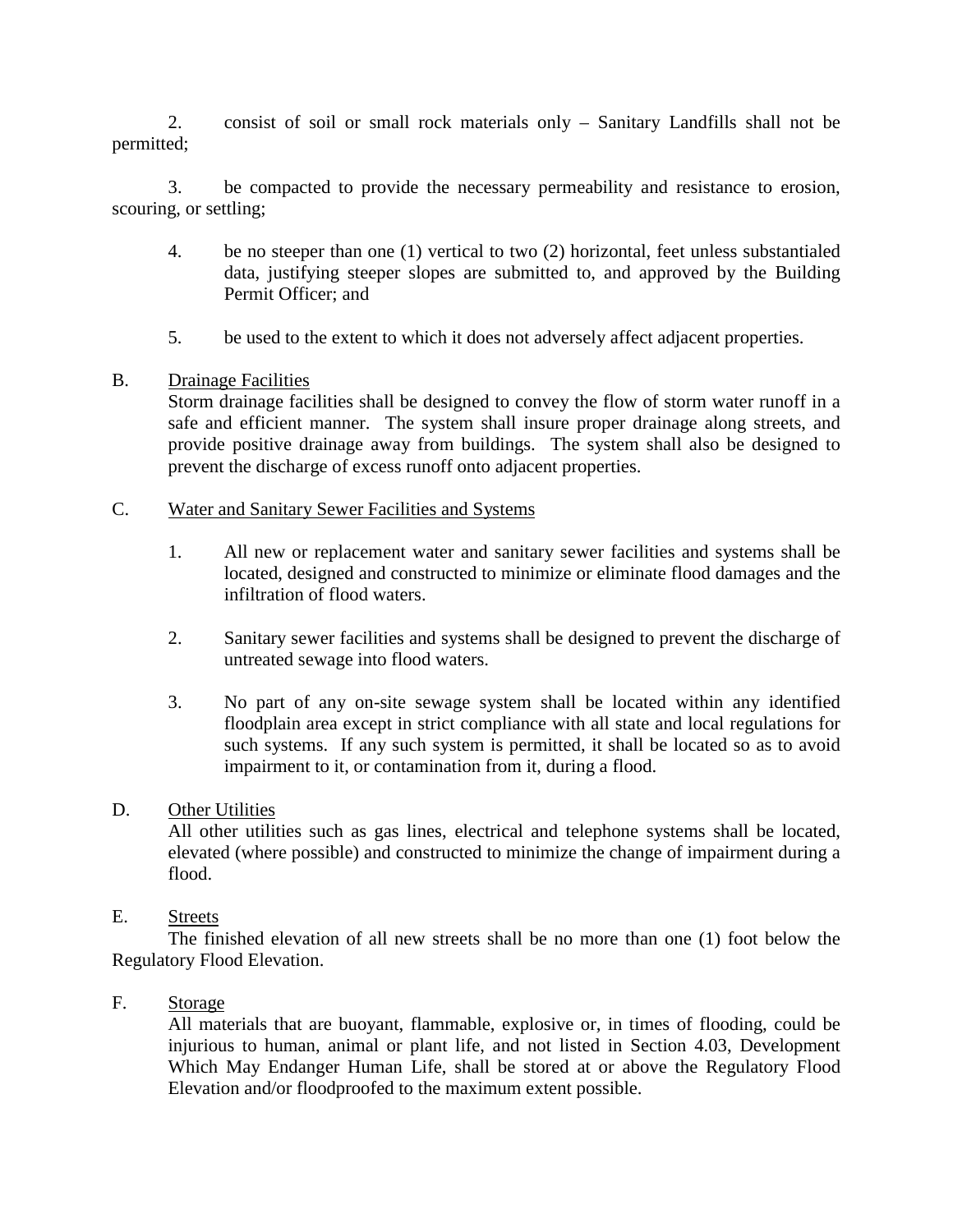2. consist of soil or small rock materials only – Sanitary Landfills shall not be permitted;

3. be compacted to provide the necessary permeability and resistance to erosion, scouring, or settling;

- 4. be no steeper than one (1) vertical to two (2) horizontal, feet unless substantialed data, justifying steeper slopes are submitted to, and approved by the Building Permit Officer; and
- 5. be used to the extent to which it does not adversely affect adjacent properties.

## B. Drainage Facilities

Storm drainage facilities shall be designed to convey the flow of storm water runoff in a safe and efficient manner. The system shall insure proper drainage along streets, and provide positive drainage away from buildings. The system shall also be designed to prevent the discharge of excess runoff onto adjacent properties.

# C. Water and Sanitary Sewer Facilities and Systems

- 1. All new or replacement water and sanitary sewer facilities and systems shall be located, designed and constructed to minimize or eliminate flood damages and the infiltration of flood waters.
- 2. Sanitary sewer facilities and systems shall be designed to prevent the discharge of untreated sewage into flood waters.
- 3. No part of any on-site sewage system shall be located within any identified floodplain area except in strict compliance with all state and local regulations for such systems. If any such system is permitted, it shall be located so as to avoid impairment to it, or contamination from it, during a flood.

## D. Other Utilities

All other utilities such as gas lines, electrical and telephone systems shall be located, elevated (where possible) and constructed to minimize the change of impairment during a flood.

## E. Streets

The finished elevation of all new streets shall be no more than one (1) foot below the Regulatory Flood Elevation.

## F. Storage

All materials that are buoyant, flammable, explosive or, in times of flooding, could be injurious to human, animal or plant life, and not listed in Section 4.03, Development Which May Endanger Human Life, shall be stored at or above the Regulatory Flood Elevation and/or floodproofed to the maximum extent possible.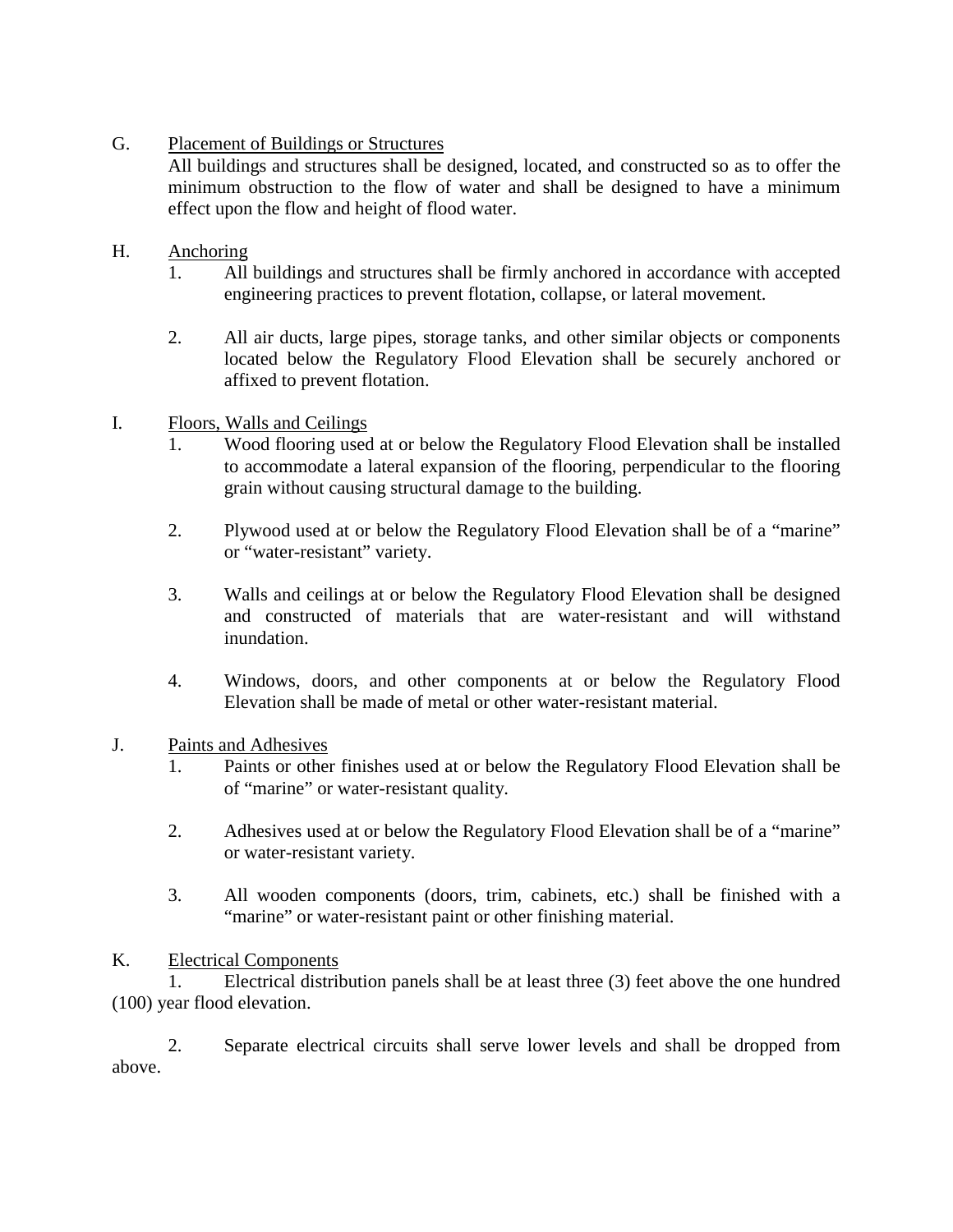# G. Placement of Buildings or Structures

All buildings and structures shall be designed, located, and constructed so as to offer the minimum obstruction to the flow of water and shall be designed to have a minimum effect upon the flow and height of flood water.

# H. Anchoring

- 1. All buildings and structures shall be firmly anchored in accordance with accepted engineering practices to prevent flotation, collapse, or lateral movement.
- 2. All air ducts, large pipes, storage tanks, and other similar objects or components located below the Regulatory Flood Elevation shall be securely anchored or affixed to prevent flotation.
- I. Floors, Walls and Ceilings
	- 1. Wood flooring used at or below the Regulatory Flood Elevation shall be installed to accommodate a lateral expansion of the flooring, perpendicular to the flooring grain without causing structural damage to the building.
	- 2. Plywood used at or below the Regulatory Flood Elevation shall be of a "marine" or "water-resistant" variety.
	- 3. Walls and ceilings at or below the Regulatory Flood Elevation shall be designed and constructed of materials that are water-resistant and will withstand inundation.
	- 4. Windows, doors, and other components at or below the Regulatory Flood Elevation shall be made of metal or other water-resistant material.
- J. Paints and Adhesives
	- 1. Paints or other finishes used at or below the Regulatory Flood Elevation shall be of "marine" or water-resistant quality.
	- 2. Adhesives used at or below the Regulatory Flood Elevation shall be of a "marine" or water-resistant variety.
	- 3. All wooden components (doors, trim, cabinets, etc.) shall be finished with a "marine" or water-resistant paint or other finishing material.

# K. Electrical Components

1. Electrical distribution panels shall be at least three (3) feet above the one hundred (100) year flood elevation.

2. Separate electrical circuits shall serve lower levels and shall be dropped from above.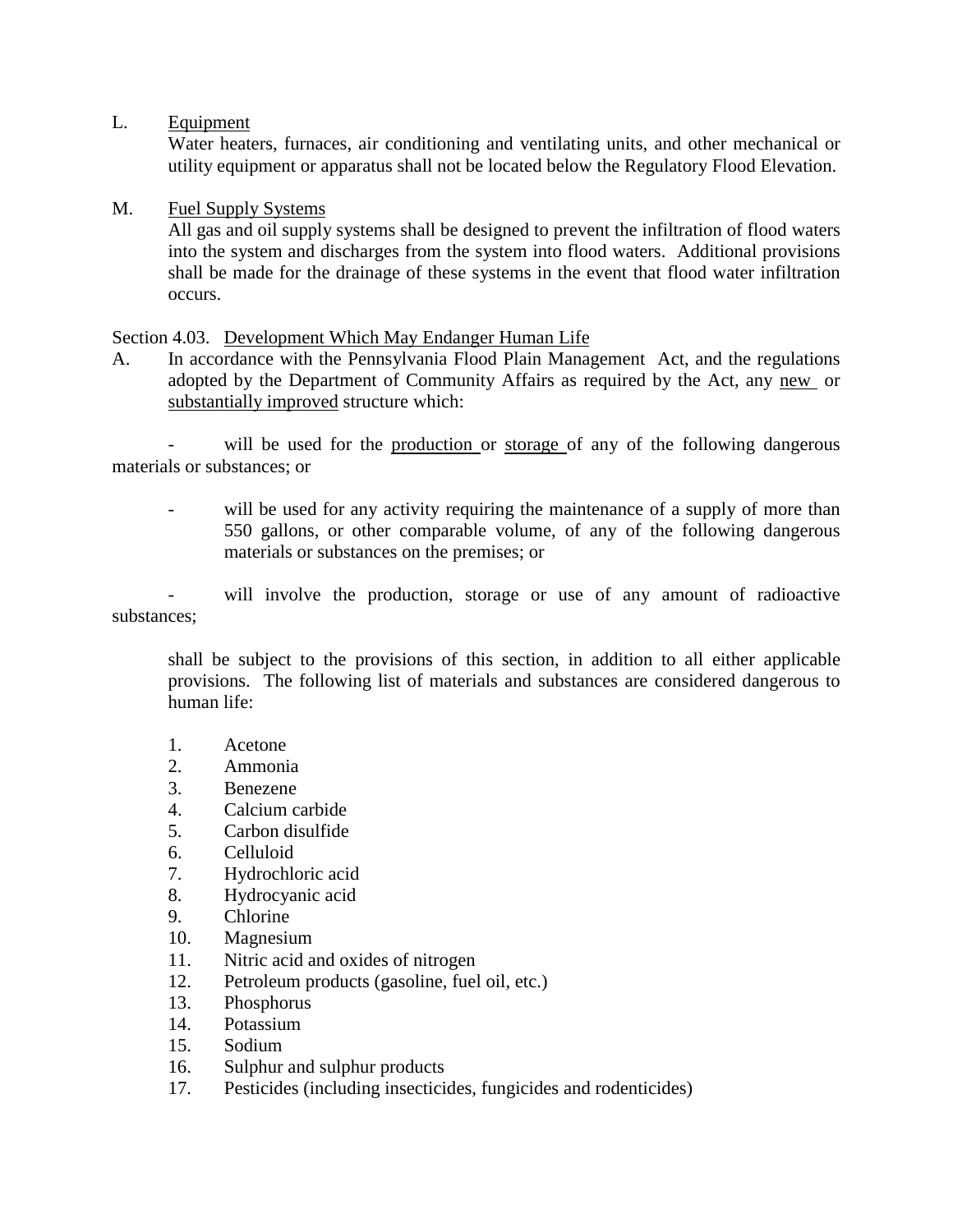L. Equipment

Water heaters, furnaces, air conditioning and ventilating units, and other mechanical or utility equipment or apparatus shall not be located below the Regulatory Flood Elevation.

## M. Fuel Supply Systems

All gas and oil supply systems shall be designed to prevent the infiltration of flood waters into the system and discharges from the system into flood waters. Additional provisions shall be made for the drainage of these systems in the event that flood water infiltration occurs.

## Section 4.03. Development Which May Endanger Human Life

A. In accordance with the Pennsylvania Flood Plain Management Act, and the regulations adopted by the Department of Community Affairs as required by the Act, any new or substantially improved structure which:

will be used for the production or storage of any of the following dangerous materials or substances; or

will be used for any activity requiring the maintenance of a supply of more than 550 gallons, or other comparable volume, of any of the following dangerous materials or substances on the premises; or

will involve the production, storage or use of any amount of radioactive substances;

shall be subject to the provisions of this section, in addition to all either applicable provisions. The following list of materials and substances are considered dangerous to human life:

- 1. Acetone
- 2. Ammonia
- 3. Benezene
- 4. Calcium carbide
- 5. Carbon disulfide
- 6. Celluloid
- 7. Hydrochloric acid
- 8. Hydrocyanic acid
- 9. Chlorine
- 10. Magnesium
- 11. Nitric acid and oxides of nitrogen
- 12. Petroleum products (gasoline, fuel oil, etc.)
- 13. Phosphorus
- 14. Potassium
- 15. Sodium
- 16. Sulphur and sulphur products
- 17. Pesticides (including insecticides, fungicides and rodenticides)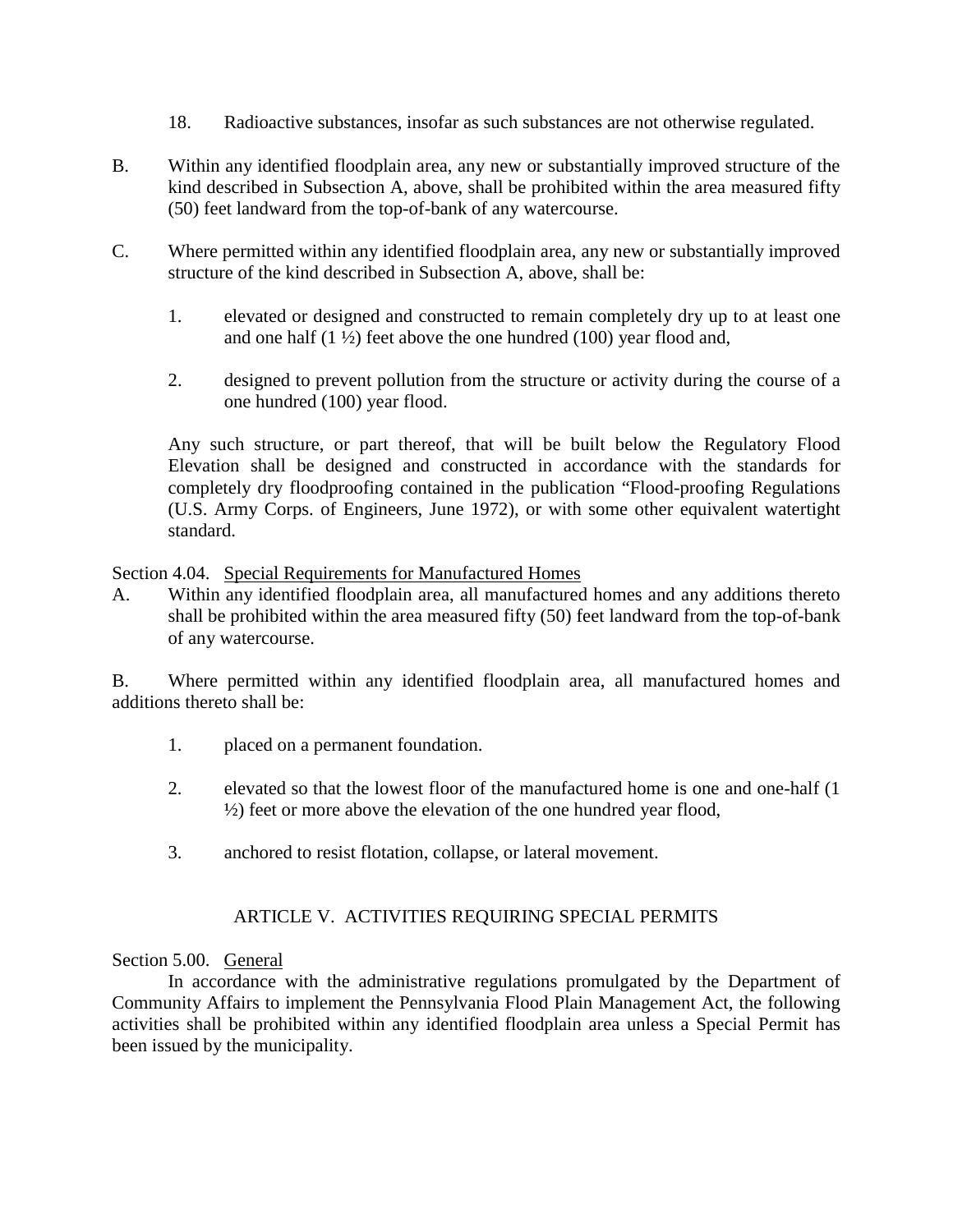- 18. Radioactive substances, insofar as such substances are not otherwise regulated.
- B. Within any identified floodplain area, any new or substantially improved structure of the kind described in Subsection A, above, shall be prohibited within the area measured fifty (50) feet landward from the top-of-bank of any watercourse.
- C. Where permitted within any identified floodplain area, any new or substantially improved structure of the kind described in Subsection A, above, shall be:
	- 1. elevated or designed and constructed to remain completely dry up to at least one and one half  $(1 \frac{1}{2})$  feet above the one hundred  $(100)$  year flood and,
	- 2. designed to prevent pollution from the structure or activity during the course of a one hundred (100) year flood.

Any such structure, or part thereof, that will be built below the Regulatory Flood Elevation shall be designed and constructed in accordance with the standards for completely dry floodproofing contained in the publication "Flood-proofing Regulations (U.S. Army Corps. of Engineers, June 1972), or with some other equivalent watertight standard.

Section 4.04. Special Requirements for Manufactured Homes

A. Within any identified floodplain area, all manufactured homes and any additions thereto shall be prohibited within the area measured fifty (50) feet landward from the top-of-bank of any watercourse.

B. Where permitted within any identified floodplain area, all manufactured homes and additions thereto shall be:

- 1. placed on a permanent foundation.
- 2. elevated so that the lowest floor of the manufactured home is one and one-half (1 ½) feet or more above the elevation of the one hundred year flood,
- 3. anchored to resist flotation, collapse, or lateral movement.

# ARTICLE V. ACTIVITIES REQUIRING SPECIAL PERMITS

# Section 5.00. General

In accordance with the administrative regulations promulgated by the Department of Community Affairs to implement the Pennsylvania Flood Plain Management Act, the following activities shall be prohibited within any identified floodplain area unless a Special Permit has been issued by the municipality.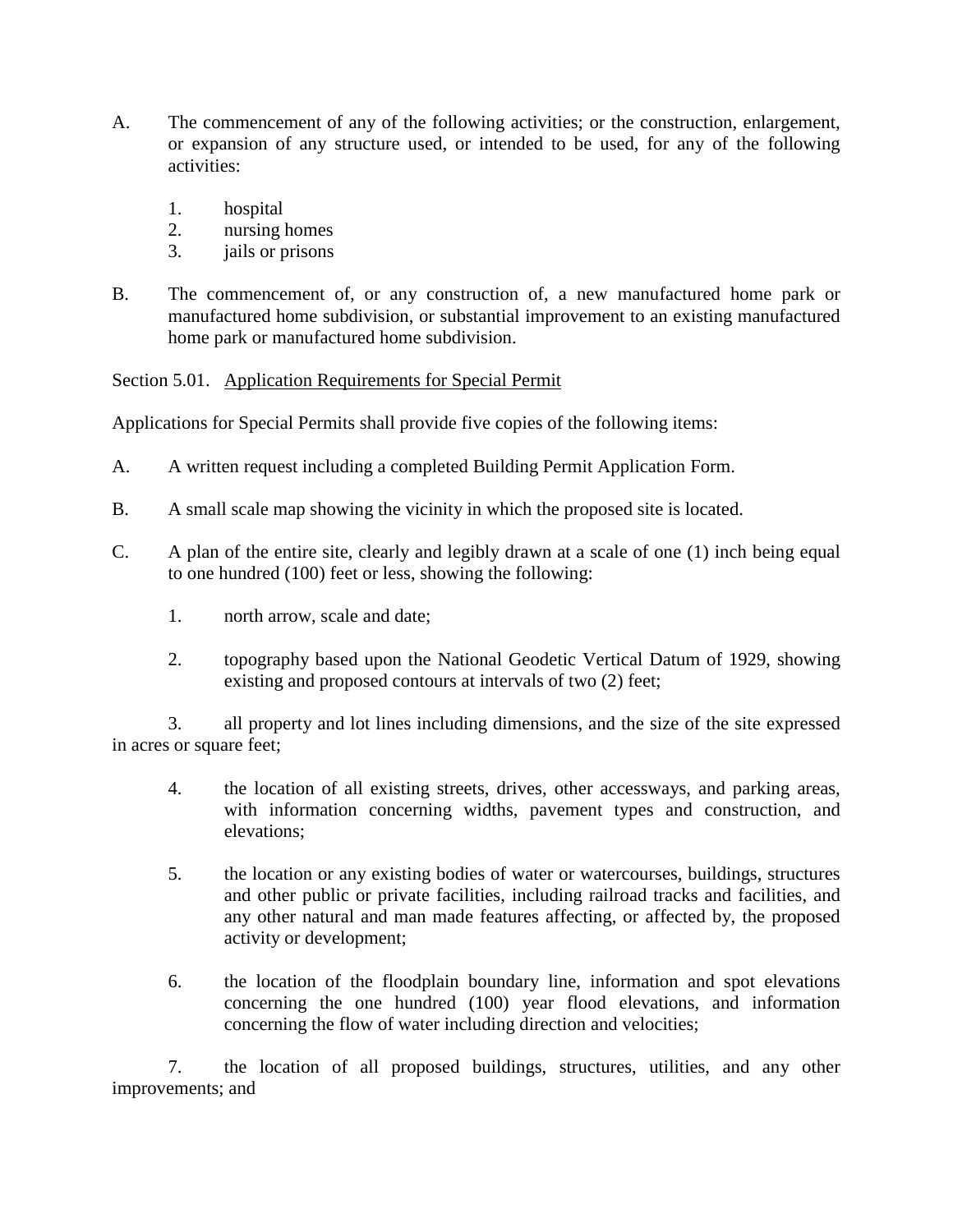- A. The commencement of any of the following activities; or the construction, enlargement, or expansion of any structure used, or intended to be used, for any of the following activities:
	- 1. hospital
	- 2. nursing homes
	- 3. jails or prisons
- B. The commencement of, or any construction of, a new manufactured home park or manufactured home subdivision, or substantial improvement to an existing manufactured home park or manufactured home subdivision.

Section 5.01. Application Requirements for Special Permit

Applications for Special Permits shall provide five copies of the following items:

- A. A written request including a completed Building Permit Application Form.
- B. A small scale map showing the vicinity in which the proposed site is located.
- C. A plan of the entire site, clearly and legibly drawn at a scale of one (1) inch being equal to one hundred (100) feet or less, showing the following:
	- 1. north arrow, scale and date;
	- 2. topography based upon the National Geodetic Vertical Datum of 1929, showing existing and proposed contours at intervals of two (2) feet;

3. all property and lot lines including dimensions, and the size of the site expressed in acres or square feet;

- 4. the location of all existing streets, drives, other accessways, and parking areas, with information concerning widths, pavement types and construction, and elevations;
- 5. the location or any existing bodies of water or watercourses, buildings, structures and other public or private facilities, including railroad tracks and facilities, and any other natural and man made features affecting, or affected by, the proposed activity or development;
- 6. the location of the floodplain boundary line, information and spot elevations concerning the one hundred (100) year flood elevations, and information concerning the flow of water including direction and velocities;

7. the location of all proposed buildings, structures, utilities, and any other improvements; and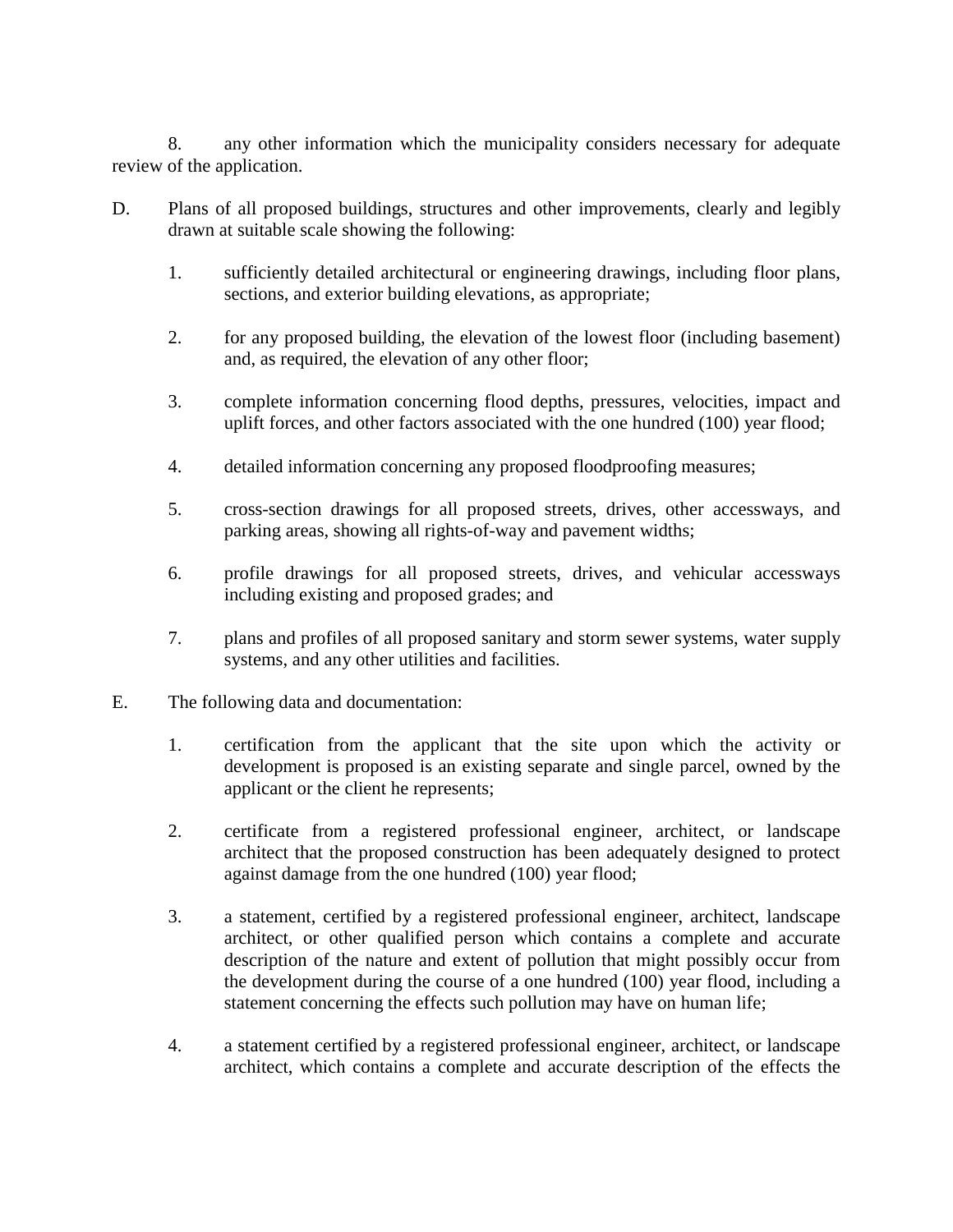8. any other information which the municipality considers necessary for adequate review of the application.

- D. Plans of all proposed buildings, structures and other improvements, clearly and legibly drawn at suitable scale showing the following:
	- 1. sufficiently detailed architectural or engineering drawings, including floor plans, sections, and exterior building elevations, as appropriate;
	- 2. for any proposed building, the elevation of the lowest floor (including basement) and, as required, the elevation of any other floor;
	- 3. complete information concerning flood depths, pressures, velocities, impact and uplift forces, and other factors associated with the one hundred (100) year flood;
	- 4. detailed information concerning any proposed floodproofing measures;
	- 5. cross-section drawings for all proposed streets, drives, other accessways, and parking areas, showing all rights-of-way and pavement widths;
	- 6. profile drawings for all proposed streets, drives, and vehicular accessways including existing and proposed grades; and
	- 7. plans and profiles of all proposed sanitary and storm sewer systems, water supply systems, and any other utilities and facilities.
- E. The following data and documentation:
	- 1. certification from the applicant that the site upon which the activity or development is proposed is an existing separate and single parcel, owned by the applicant or the client he represents;
	- 2. certificate from a registered professional engineer, architect, or landscape architect that the proposed construction has been adequately designed to protect against damage from the one hundred (100) year flood;
	- 3. a statement, certified by a registered professional engineer, architect, landscape architect, or other qualified person which contains a complete and accurate description of the nature and extent of pollution that might possibly occur from the development during the course of a one hundred (100) year flood, including a statement concerning the effects such pollution may have on human life;
	- 4. a statement certified by a registered professional engineer, architect, or landscape architect, which contains a complete and accurate description of the effects the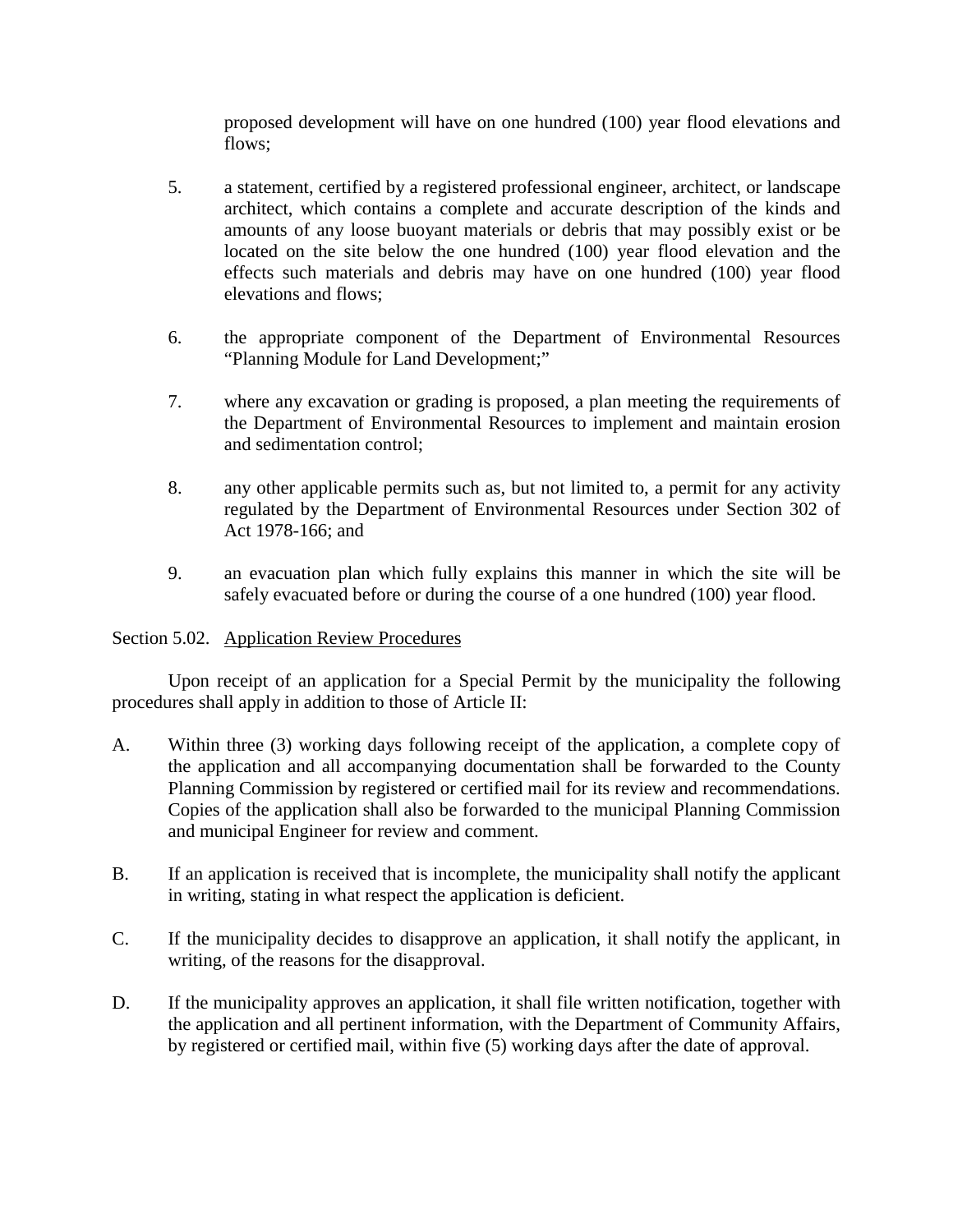proposed development will have on one hundred (100) year flood elevations and flows;

- 5. a statement, certified by a registered professional engineer, architect, or landscape architect, which contains a complete and accurate description of the kinds and amounts of any loose buoyant materials or debris that may possibly exist or be located on the site below the one hundred (100) year flood elevation and the effects such materials and debris may have on one hundred (100) year flood elevations and flows;
- 6. the appropriate component of the Department of Environmental Resources "Planning Module for Land Development;"
- 7. where any excavation or grading is proposed, a plan meeting the requirements of the Department of Environmental Resources to implement and maintain erosion and sedimentation control;
- 8. any other applicable permits such as, but not limited to, a permit for any activity regulated by the Department of Environmental Resources under Section 302 of Act 1978-166; and
- 9. an evacuation plan which fully explains this manner in which the site will be safely evacuated before or during the course of a one hundred (100) year flood.

# Section 5.02. Application Review Procedures

Upon receipt of an application for a Special Permit by the municipality the following procedures shall apply in addition to those of Article II:

- A. Within three (3) working days following receipt of the application, a complete copy of the application and all accompanying documentation shall be forwarded to the County Planning Commission by registered or certified mail for its review and recommendations. Copies of the application shall also be forwarded to the municipal Planning Commission and municipal Engineer for review and comment.
- B. If an application is received that is incomplete, the municipality shall notify the applicant in writing, stating in what respect the application is deficient.
- C. If the municipality decides to disapprove an application, it shall notify the applicant, in writing, of the reasons for the disapproval.
- D. If the municipality approves an application, it shall file written notification, together with the application and all pertinent information, with the Department of Community Affairs, by registered or certified mail, within five (5) working days after the date of approval.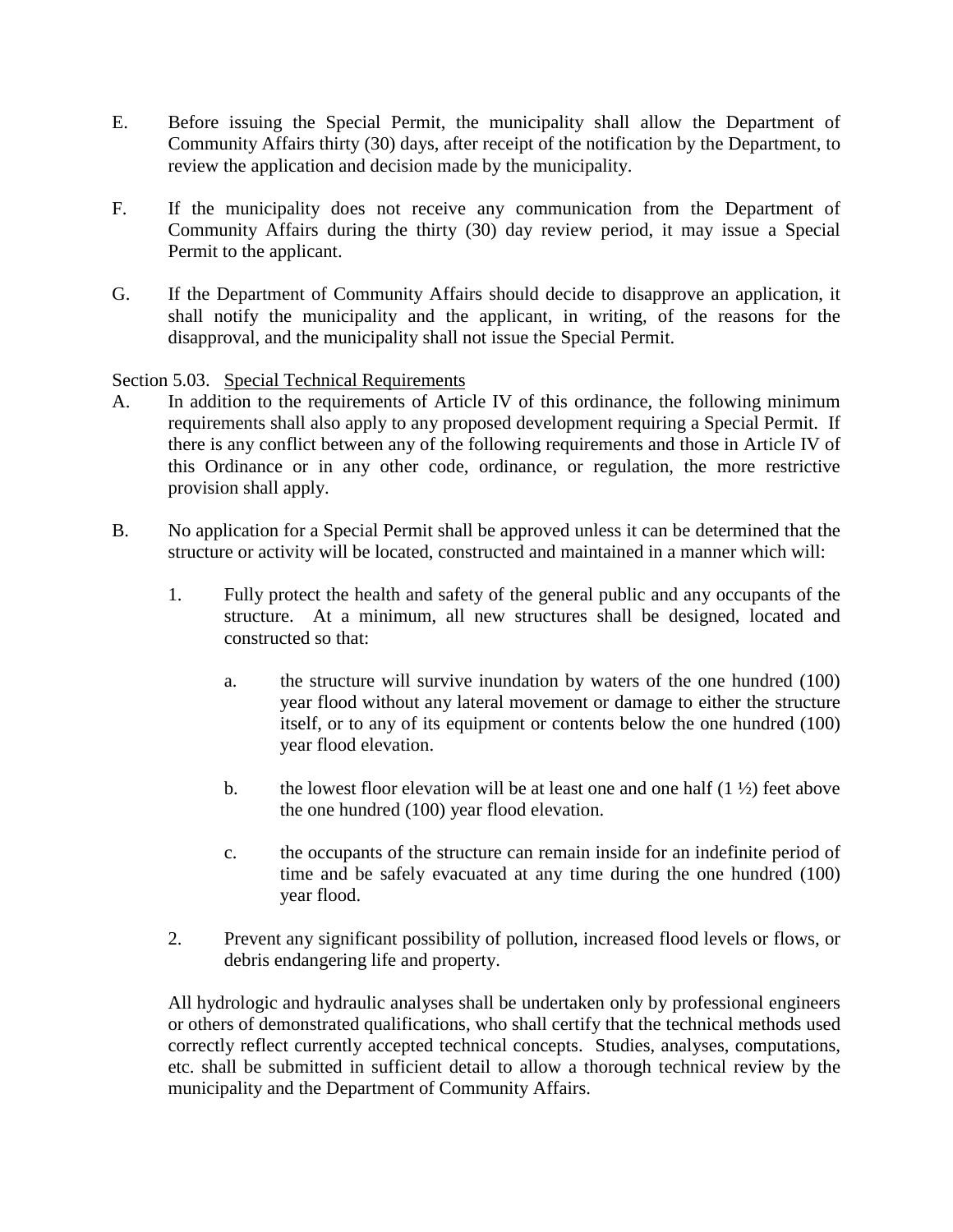- E. Before issuing the Special Permit, the municipality shall allow the Department of Community Affairs thirty (30) days, after receipt of the notification by the Department, to review the application and decision made by the municipality.
- F. If the municipality does not receive any communication from the Department of Community Affairs during the thirty (30) day review period, it may issue a Special Permit to the applicant.
- G. If the Department of Community Affairs should decide to disapprove an application, it shall notify the municipality and the applicant, in writing, of the reasons for the disapproval, and the municipality shall not issue the Special Permit.

Section 5.03. Special Technical Requirements

- A. In addition to the requirements of Article IV of this ordinance, the following minimum requirements shall also apply to any proposed development requiring a Special Permit. If there is any conflict between any of the following requirements and those in Article IV of this Ordinance or in any other code, ordinance, or regulation, the more restrictive provision shall apply.
- B. No application for a Special Permit shall be approved unless it can be determined that the structure or activity will be located, constructed and maintained in a manner which will:
	- 1. Fully protect the health and safety of the general public and any occupants of the structure. At a minimum, all new structures shall be designed, located and constructed so that:
		- a. the structure will survive inundation by waters of the one hundred (100) year flood without any lateral movement or damage to either the structure itself, or to any of its equipment or contents below the one hundred (100) year flood elevation.
		- b. the lowest floor elevation will be at least one and one half  $(1 \frac{1}{2})$  feet above the one hundred (100) year flood elevation.
		- c. the occupants of the structure can remain inside for an indefinite period of time and be safely evacuated at any time during the one hundred (100) year flood.
	- 2. Prevent any significant possibility of pollution, increased flood levels or flows, or debris endangering life and property.

All hydrologic and hydraulic analyses shall be undertaken only by professional engineers or others of demonstrated qualifications, who shall certify that the technical methods used correctly reflect currently accepted technical concepts. Studies, analyses, computations, etc. shall be submitted in sufficient detail to allow a thorough technical review by the municipality and the Department of Community Affairs.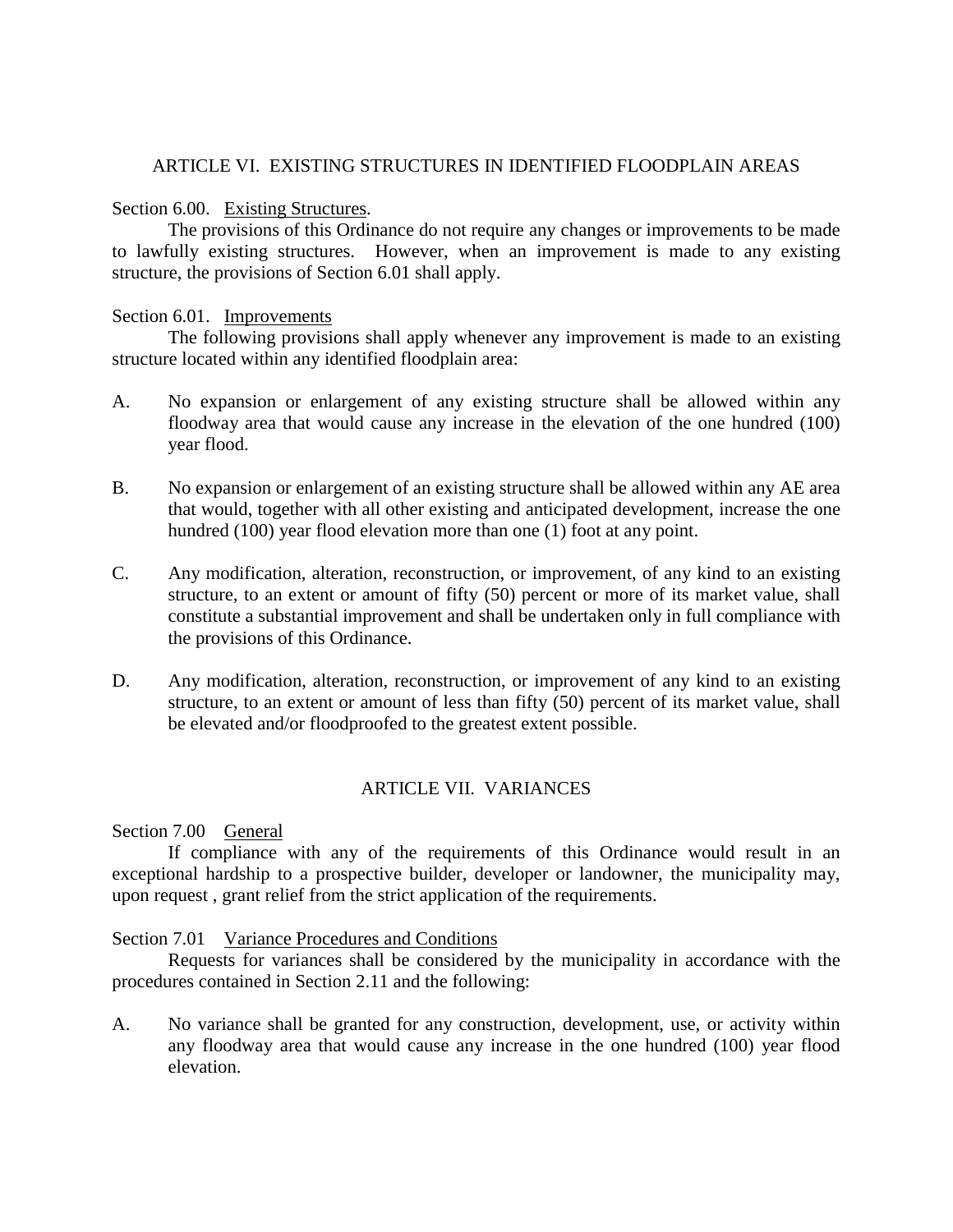## ARTICLE VI. EXISTING STRUCTURES IN IDENTIFIED FLOODPLAIN AREAS

### Section 6.00. Existing Structures.

The provisions of this Ordinance do not require any changes or improvements to be made to lawfully existing structures. However, when an improvement is made to any existing structure, the provisions of Section 6.01 shall apply.

### Section 6.01. Improvements

The following provisions shall apply whenever any improvement is made to an existing structure located within any identified floodplain area:

- A. No expansion or enlargement of any existing structure shall be allowed within any floodway area that would cause any increase in the elevation of the one hundred (100) year flood.
- B. No expansion or enlargement of an existing structure shall be allowed within any AE area that would, together with all other existing and anticipated development, increase the one hundred (100) year flood elevation more than one (1) foot at any point.
- C. Any modification, alteration, reconstruction, or improvement, of any kind to an existing structure, to an extent or amount of fifty (50) percent or more of its market value, shall constitute a substantial improvement and shall be undertaken only in full compliance with the provisions of this Ordinance.
- D. Any modification, alteration, reconstruction, or improvement of any kind to an existing structure, to an extent or amount of less than fifty (50) percent of its market value, shall be elevated and/or floodproofed to the greatest extent possible.

## ARTICLE VII. VARIANCES

Section 7.00 General

If compliance with any of the requirements of this Ordinance would result in an exceptional hardship to a prospective builder, developer or landowner, the municipality may, upon request , grant relief from the strict application of the requirements.

#### Section 7.01 Variance Procedures and Conditions

Requests for variances shall be considered by the municipality in accordance with the procedures contained in Section 2.11 and the following:

A. No variance shall be granted for any construction, development, use, or activity within any floodway area that would cause any increase in the one hundred (100) year flood elevation.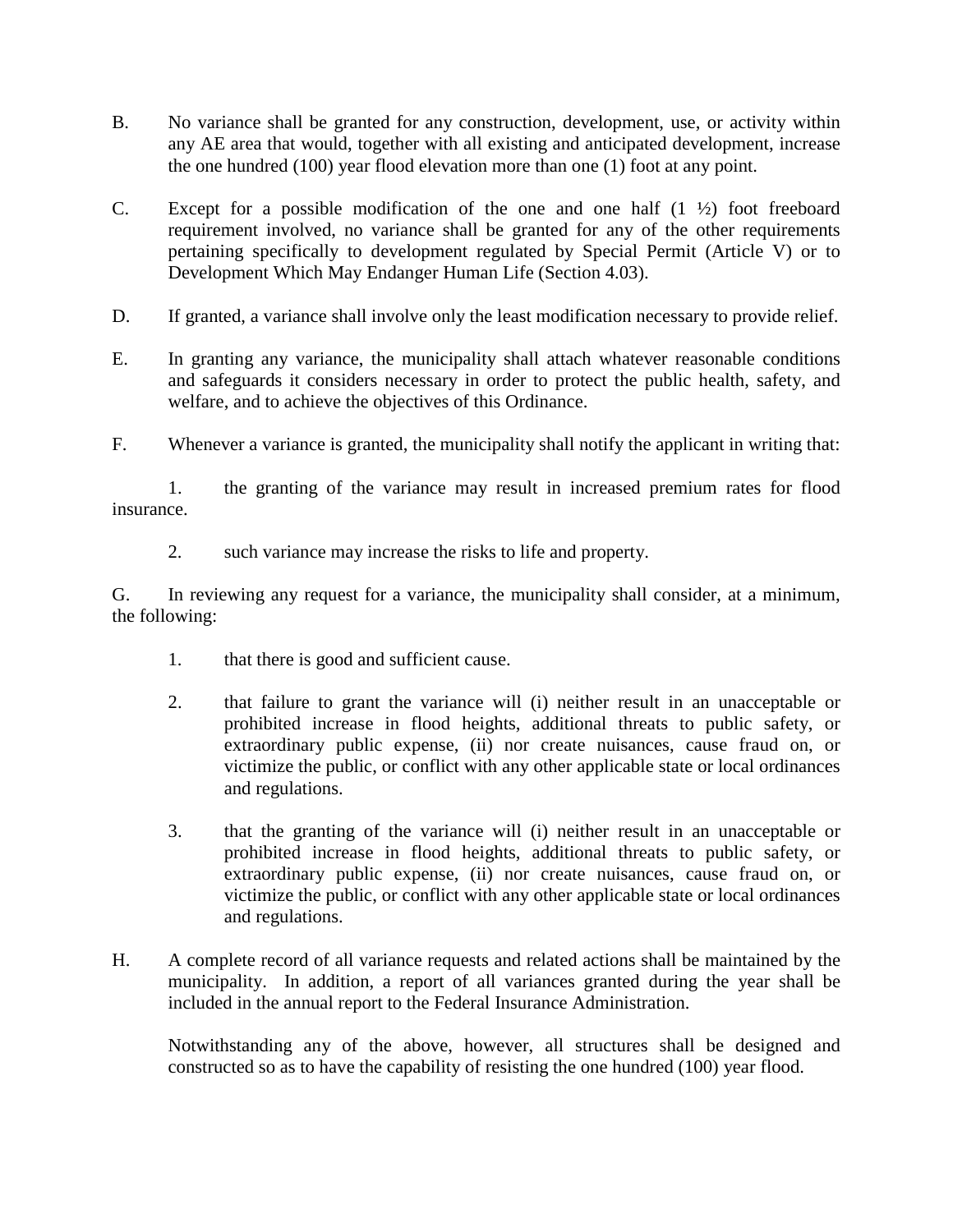- B. No variance shall be granted for any construction, development, use, or activity within any AE area that would, together with all existing and anticipated development, increase the one hundred (100) year flood elevation more than one (1) foot at any point.
- C. Except for a possible modification of the one and one half  $(1 \frac{1}{2})$  foot freeboard requirement involved, no variance shall be granted for any of the other requirements pertaining specifically to development regulated by Special Permit (Article V) or to Development Which May Endanger Human Life (Section 4.03).
- D. If granted, a variance shall involve only the least modification necessary to provide relief.
- E. In granting any variance, the municipality shall attach whatever reasonable conditions and safeguards it considers necessary in order to protect the public health, safety, and welfare, and to achieve the objectives of this Ordinance.
- F. Whenever a variance is granted, the municipality shall notify the applicant in writing that:

1. the granting of the variance may result in increased premium rates for flood insurance.

2. such variance may increase the risks to life and property.

G. In reviewing any request for a variance, the municipality shall consider, at a minimum, the following:

- 1. that there is good and sufficient cause.
- 2. that failure to grant the variance will (i) neither result in an unacceptable or prohibited increase in flood heights, additional threats to public safety, or extraordinary public expense, (ii) nor create nuisances, cause fraud on, or victimize the public, or conflict with any other applicable state or local ordinances and regulations.
- 3. that the granting of the variance will (i) neither result in an unacceptable or prohibited increase in flood heights, additional threats to public safety, or extraordinary public expense, (ii) nor create nuisances, cause fraud on, or victimize the public, or conflict with any other applicable state or local ordinances and regulations.
- H. A complete record of all variance requests and related actions shall be maintained by the municipality. In addition, a report of all variances granted during the year shall be included in the annual report to the Federal Insurance Administration.

Notwithstanding any of the above, however, all structures shall be designed and constructed so as to have the capability of resisting the one hundred (100) year flood.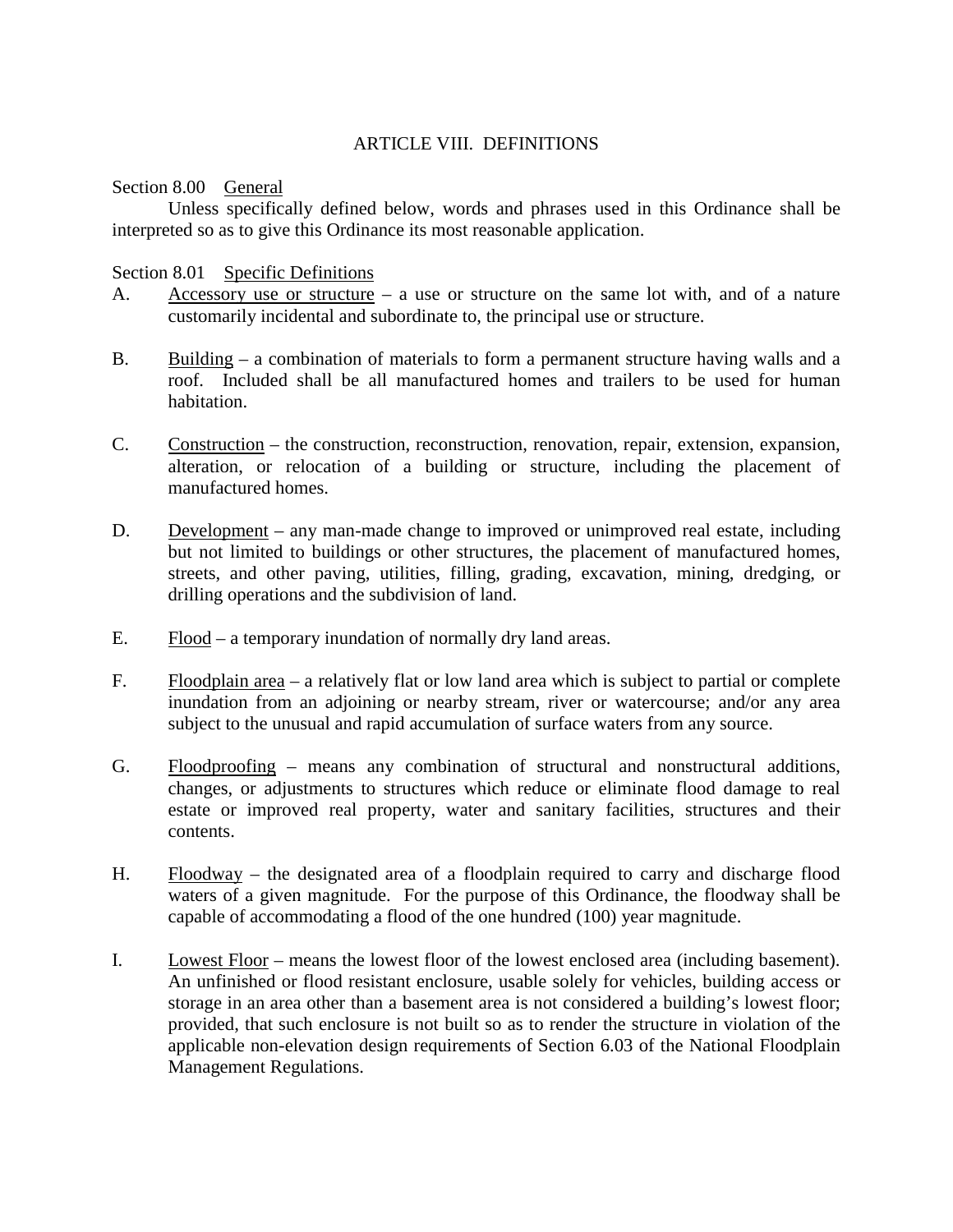# ARTICLE VIII. DEFINITIONS

Section 8.00 General

Unless specifically defined below, words and phrases used in this Ordinance shall be interpreted so as to give this Ordinance its most reasonable application.

### Section 8.01 Specific Definitions

- A. Accessory use or structure a use or structure on the same lot with, and of a nature customarily incidental and subordinate to, the principal use or structure.
- B. Building a combination of materials to form a permanent structure having walls and a roof. Included shall be all manufactured homes and trailers to be used for human habitation.
- C. Construction the construction, reconstruction, renovation, repair, extension, expansion, alteration, or relocation of a building or structure, including the placement of manufactured homes.
- D. Development any man-made change to improved or unimproved real estate, including but not limited to buildings or other structures, the placement of manufactured homes, streets, and other paving, utilities, filling, grading, excavation, mining, dredging, or drilling operations and the subdivision of land.
- E. Flood a temporary inundation of normally dry land areas.
- F. Floodplain area a relatively flat or low land area which is subject to partial or complete inundation from an adjoining or nearby stream, river or watercourse; and/or any area subject to the unusual and rapid accumulation of surface waters from any source.
- G. Floodproofing means any combination of structural and nonstructural additions, changes, or adjustments to structures which reduce or eliminate flood damage to real estate or improved real property, water and sanitary facilities, structures and their contents.
- H. Floodway the designated area of a floodplain required to carry and discharge flood waters of a given magnitude. For the purpose of this Ordinance, the floodway shall be capable of accommodating a flood of the one hundred (100) year magnitude.
- I. Lowest Floor means the lowest floor of the lowest enclosed area (including basement). An unfinished or flood resistant enclosure, usable solely for vehicles, building access or storage in an area other than a basement area is not considered a building's lowest floor; provided, that such enclosure is not built so as to render the structure in violation of the applicable non-elevation design requirements of Section 6.03 of the National Floodplain Management Regulations.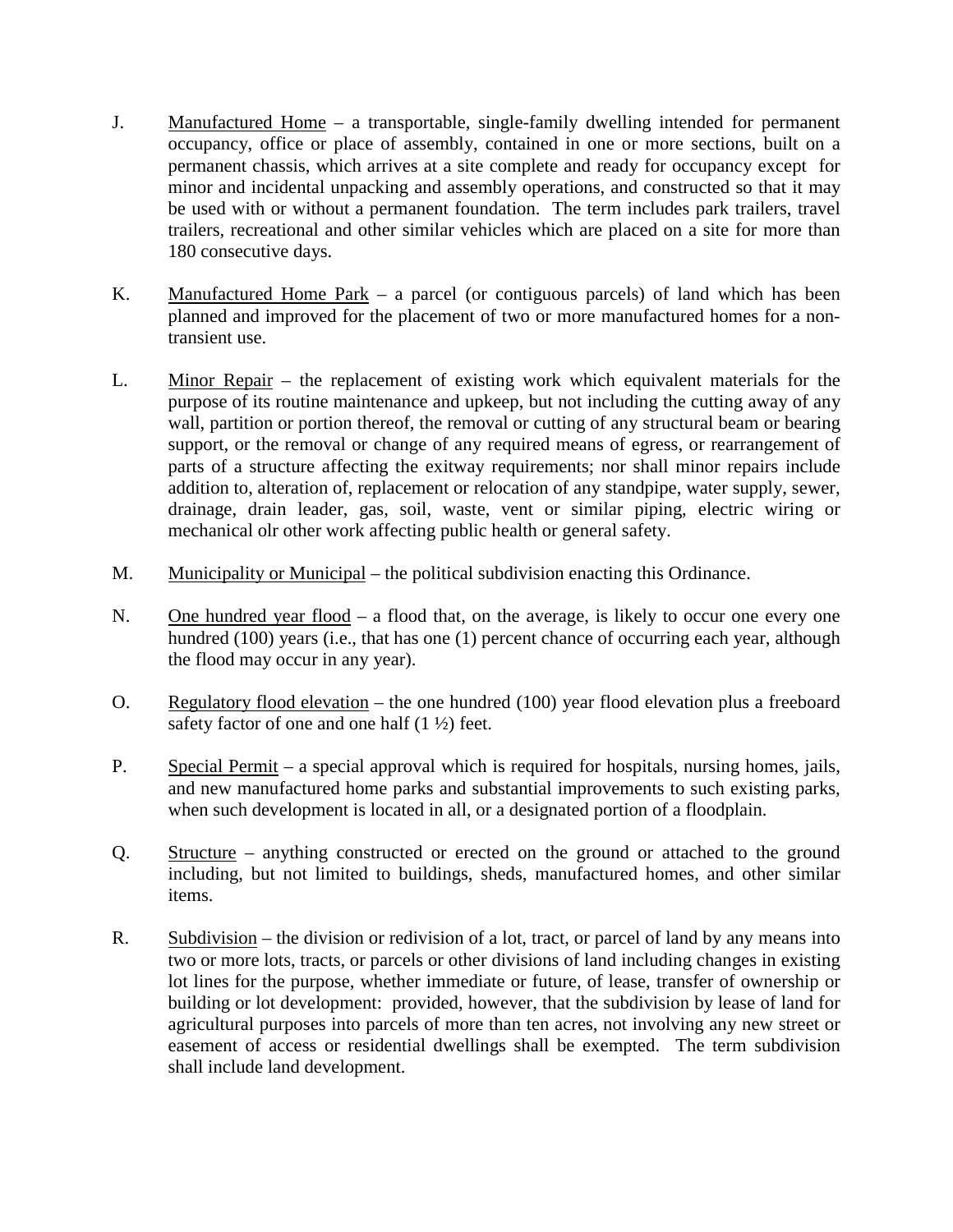- J. Manufactured Home a transportable, single-family dwelling intended for permanent occupancy, office or place of assembly, contained in one or more sections, built on a permanent chassis, which arrives at a site complete and ready for occupancy except for minor and incidental unpacking and assembly operations, and constructed so that it may be used with or without a permanent foundation. The term includes park trailers, travel trailers, recreational and other similar vehicles which are placed on a site for more than 180 consecutive days.
- K. Manufactured Home Park a parcel (or contiguous parcels) of land which has been planned and improved for the placement of two or more manufactured homes for a nontransient use.
- L. Minor Repair the replacement of existing work which equivalent materials for the purpose of its routine maintenance and upkeep, but not including the cutting away of any wall, partition or portion thereof, the removal or cutting of any structural beam or bearing support, or the removal or change of any required means of egress, or rearrangement of parts of a structure affecting the exitway requirements; nor shall minor repairs include addition to, alteration of, replacement or relocation of any standpipe, water supply, sewer, drainage, drain leader, gas, soil, waste, vent or similar piping, electric wiring or mechanical olr other work affecting public health or general safety.
- M. Municipality or Municipal the political subdivision enacting this Ordinance.
- N. One hundred year flood a flood that, on the average, is likely to occur one every one hundred (100) years (i.e., that has one (1) percent chance of occurring each year, although the flood may occur in any year).
- O. Regulatory flood elevation the one hundred (100) year flood elevation plus a freeboard safety factor of one and one half  $(1 \frac{1}{2})$  feet.
- P. Special Permit a special approval which is required for hospitals, nursing homes, jails, and new manufactured home parks and substantial improvements to such existing parks, when such development is located in all, or a designated portion of a floodplain.
- Q. Structure anything constructed or erected on the ground or attached to the ground including, but not limited to buildings, sheds, manufactured homes, and other similar items.
- R. Subdivision the division or redivision of a lot, tract, or parcel of land by any means into two or more lots, tracts, or parcels or other divisions of land including changes in existing lot lines for the purpose, whether immediate or future, of lease, transfer of ownership or building or lot development: provided, however, that the subdivision by lease of land for agricultural purposes into parcels of more than ten acres, not involving any new street or easement of access or residential dwellings shall be exempted. The term subdivision shall include land development.